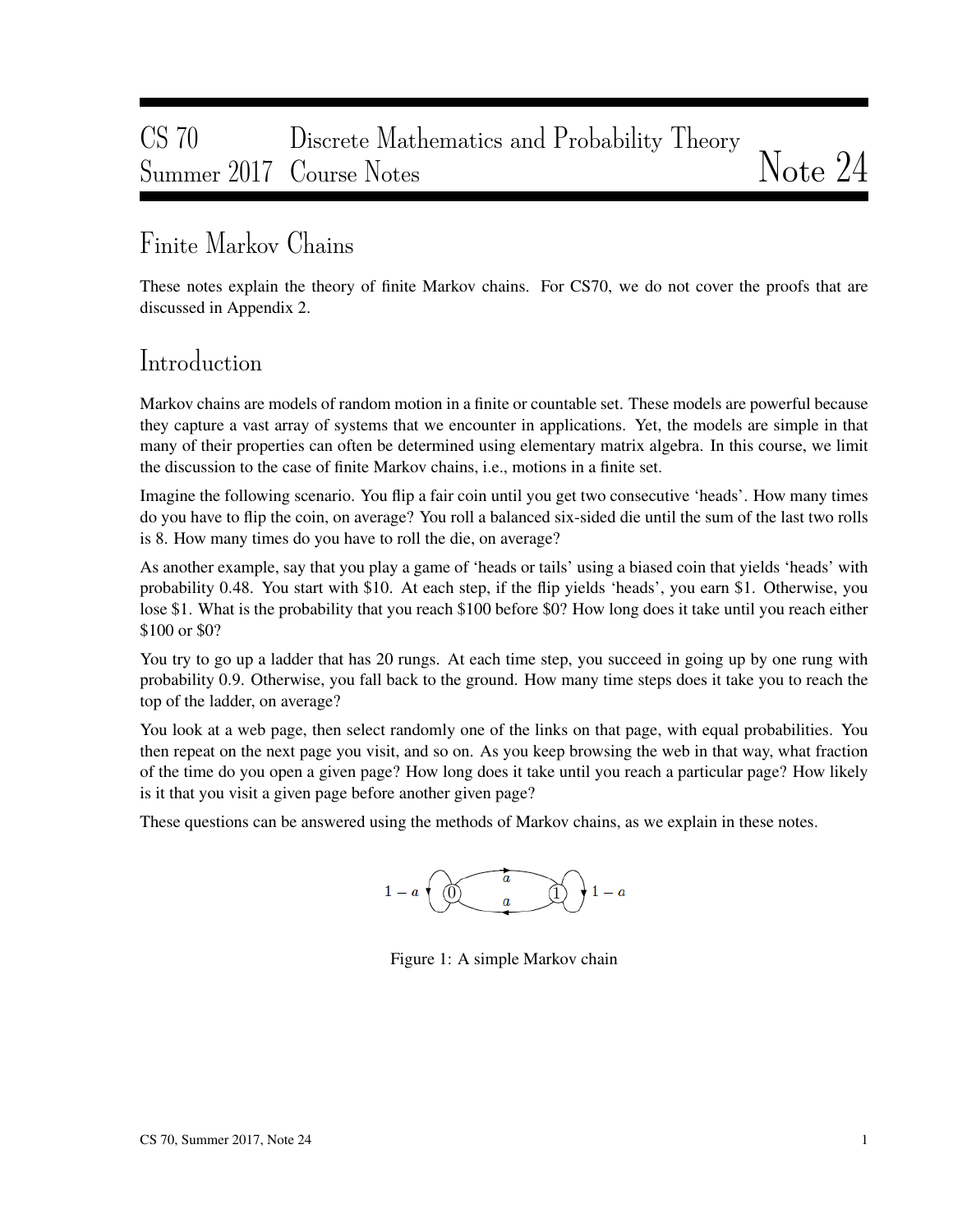# CS 70 Discrete Mathematics and Probability Theory Summer 2017 Course Notes Notes

# Finite Markov Chains

These notes explain the theory of finite Markov chains. For CS70, we do not cover the proofs that are discussed in Appendix 2.

## Introduction

Markov chains are models of random motion in a finite or countable set. These models are powerful because they capture a vast array of systems that we encounter in applications. Yet, the models are simple in that many of their properties can often be determined using elementary matrix algebra. In this course, we limit the discussion to the case of finite Markov chains, i.e., motions in a finite set.

Imagine the following scenario. You flip a fair coin until you get two consecutive 'heads'. How many times do you have to flip the coin, on average? You roll a balanced six-sided die until the sum of the last two rolls is 8. How many times do you have to roll the die, on average?

As another example, say that you play a game of 'heads or tails' using a biased coin that yields 'heads' with probability 0.48. You start with \$10. At each step, if the flip yields 'heads', you earn \$1. Otherwise, you lose \$1. What is the probability that you reach \$100 before \$0? How long does it take until you reach either \$100 or \$0?

You try to go up a ladder that has 20 rungs. At each time step, you succeed in going up by one rung with probability 0.9. Otherwise, you fall back to the ground. How many time steps does it take you to reach the top of the ladder, on average?

You look at a web page, then select randomly one of the links on that page, with equal probabilities. You then repeat on the next page you visit, and so on. As you keep browsing the web in that way, what fraction of the time do you open a given page? How long does it take until you reach a particular page? How likely is it that you visit a given page before another given page?

These questions can be answered using the methods of Markov chains, as we explain in these notes.



Figure 1: A simple Markov chain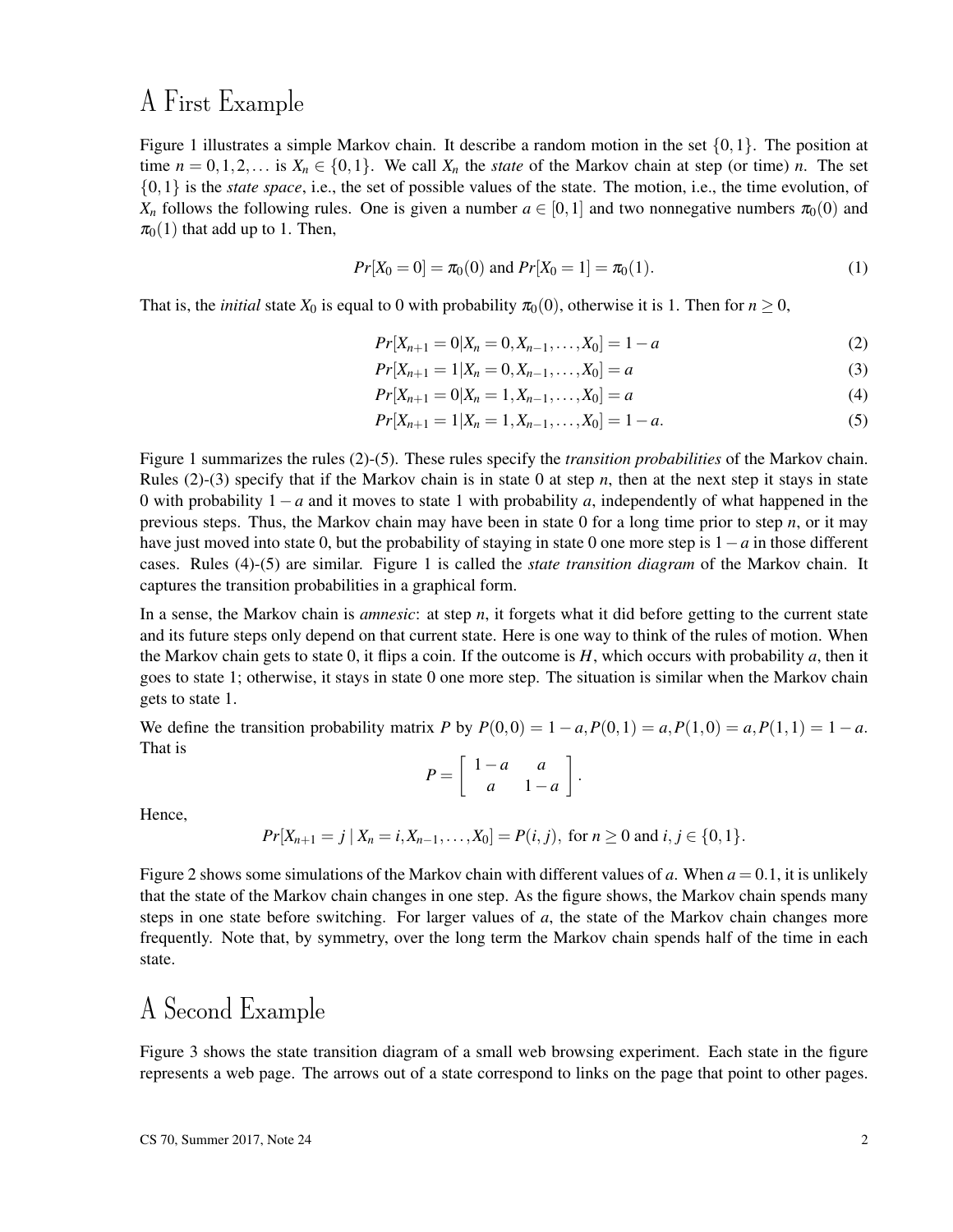## A First Example

Figure 1 illustrates a simple Markov chain. It describe a random motion in the set  $\{0,1\}$ . The position at time  $n = 0, 1, 2, \ldots$  is  $X_n \in \{0, 1\}$ . We call  $X_n$  the *state* of the Markov chain at step (or time) *n*. The set {0,1} is the *state space*, i.e., the set of possible values of the state. The motion, i.e., the time evolution, of  $X_n$  follows the following rules. One is given a number  $a \in [0,1]$  and two nonnegative numbers  $\pi_0(0)$  and  $\pi_0(1)$  that add up to 1. Then,

$$
Pr[X_0 = 0] = \pi_0(0) \text{ and } Pr[X_0 = 1] = \pi_0(1). \tag{1}
$$

That is, the *initial* state  $X_0$  is equal to 0 with probability  $\pi_0(0)$ , otherwise it is 1. Then for  $n \ge 0$ ,

$$
Pr[X_{n+1} = 0 | X_n = 0, X_{n-1}, \dots, X_0] = 1 - a
$$
\n(2)

$$
Pr[X_{n+1} = 1 | X_n = 0, X_{n-1}, \dots, X_0] = a
$$
\n(3)

$$
Pr[X_{n+1} = 0 | X_n = 1, X_{n-1}, \dots, X_0] = a
$$
\n(4)

$$
Pr[X_{n+1} = 1 | X_n = 1, X_{n-1}, \dots, X_0] = 1 - a.
$$
\n(5)

Figure 1 summarizes the rules (2)-(5). These rules specify the *transition probabilities* of the Markov chain. Rules  $(2)-(3)$  specify that if the Markov chain is in state 0 at step *n*, then at the next step it stays in state 0 with probability 1−*a* and it moves to state 1 with probability *a*, independently of what happened in the previous steps. Thus, the Markov chain may have been in state 0 for a long time prior to step *n*, or it may have just moved into state 0, but the probability of staying in state 0 one more step is 1−*a* in those different cases. Rules (4)-(5) are similar. Figure 1 is called the *state transition diagram* of the Markov chain. It captures the transition probabilities in a graphical form.

In a sense, the Markov chain is *amnesic*: at step *n*, it forgets what it did before getting to the current state and its future steps only depend on that current state. Here is one way to think of the rules of motion. When the Markov chain gets to state 0, it flips a coin. If the outcome is *H*, which occurs with probability *a*, then it goes to state 1; otherwise, it stays in state 0 one more step. The situation is similar when the Markov chain gets to state 1.

We define the transition probability matrix *P* by  $P(0,0) = 1 - a$ ,  $P(0,1) = a$ ,  $P(1,0) = a$ ,  $P(1,1) = 1 - a$ . That is

$$
P = \left[ \begin{array}{rr} 1-a & a \\ a & 1-a \end{array} \right].
$$

Hence,

$$
Pr[X_{n+1} = j | X_n = i, X_{n-1}, \dots, X_0] = P(i, j), \text{ for } n \ge 0 \text{ and } i, j \in \{0, 1\}.
$$

Figure 2 shows some simulations of the Markov chain with different values of *a*. When  $a = 0.1$ , it is unlikely that the state of the Markov chain changes in one step. As the figure shows, the Markov chain spends many steps in one state before switching. For larger values of *a*, the state of the Markov chain changes more frequently. Note that, by symmetry, over the long term the Markov chain spends half of the time in each state.

# A Second Example

Figure 3 shows the state transition diagram of a small web browsing experiment. Each state in the figure represents a web page. The arrows out of a state correspond to links on the page that point to other pages.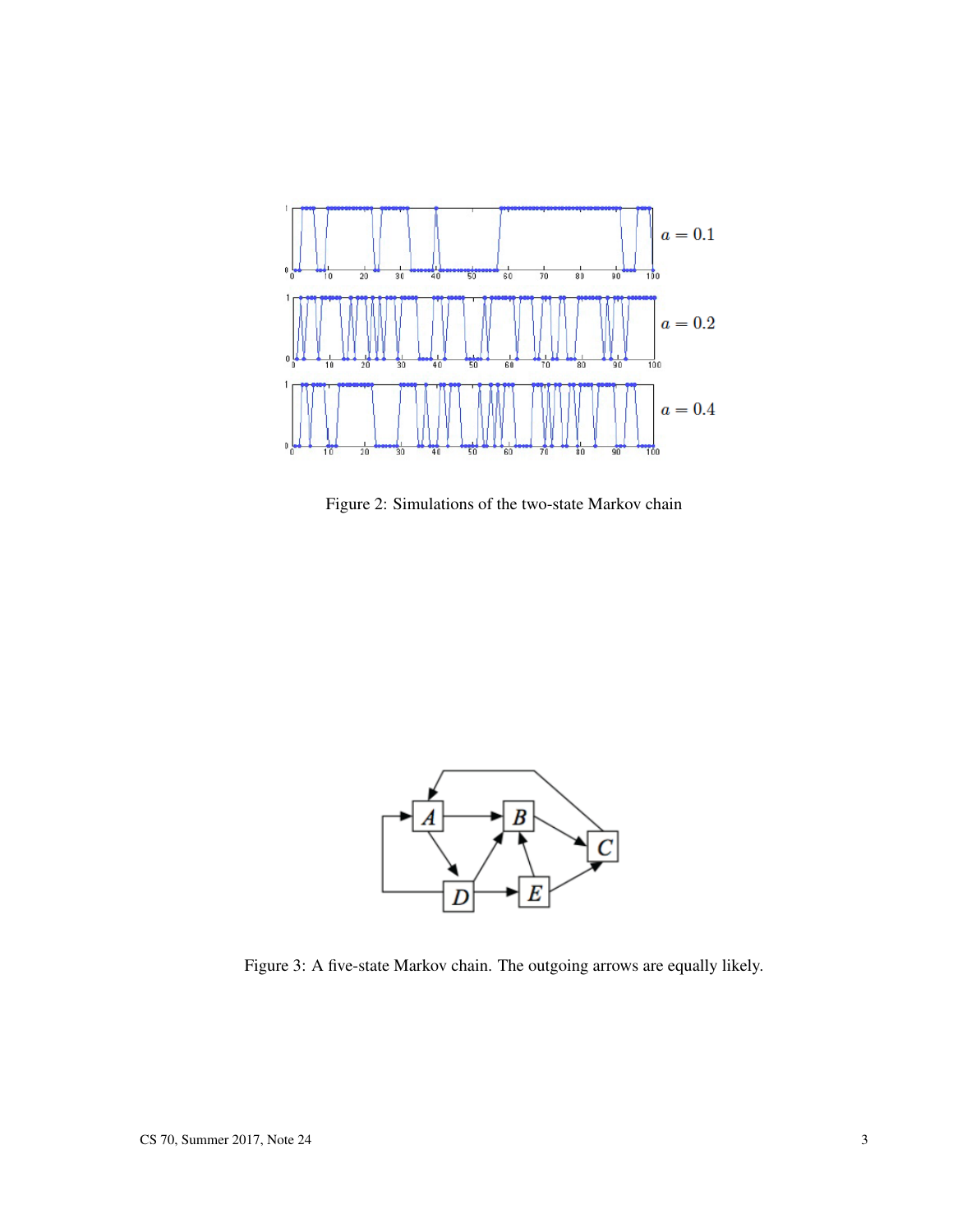

Figure 2: Simulations of the two-state Markov chain



Figure 3: A five-state Markov chain. The outgoing arrows are equally likely.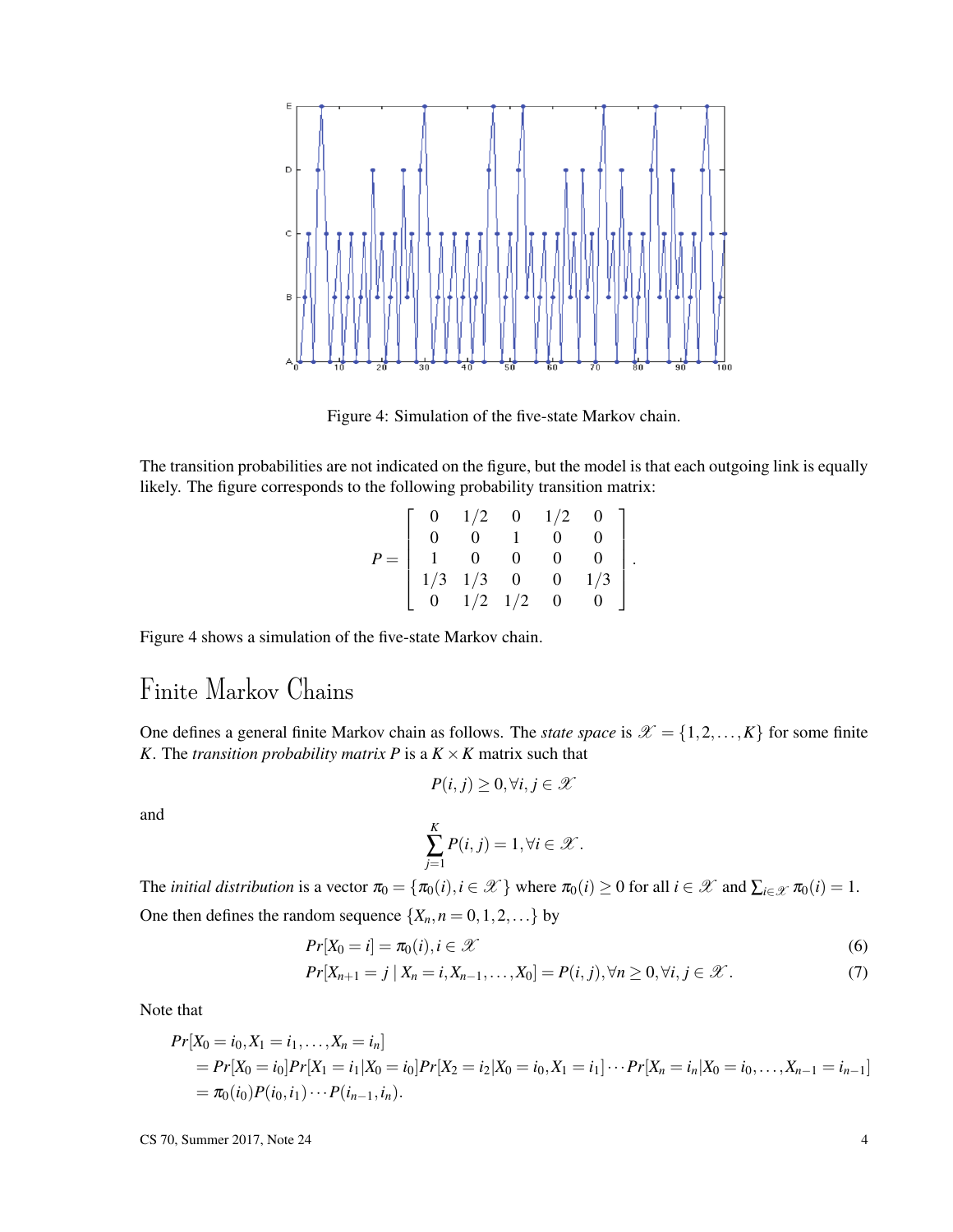

Figure 4: Simulation of the five-state Markov chain.

The transition probabilities are not indicated on the figure, but the model is that each outgoing link is equally likely. The figure corresponds to the following probability transition matrix:

$$
P = \left[ \begin{array}{rrrrr} 0 & 1/2 & 0 & 1/2 & 0 \\ 0 & 0 & 1 & 0 & 0 \\ 1 & 0 & 0 & 0 & 0 \\ 1/3 & 1/3 & 0 & 0 & 1/3 \\ 0 & 1/2 & 1/2 & 0 & 0 \end{array} \right].
$$

Figure 4 shows a simulation of the five-state Markov chain.

# Finite Markov Chains

One defines a general finite Markov chain as follows. The *state space* is  $\mathcal{X} = \{1, 2, ..., K\}$  for some finite *K*. The *transition probability matrix P* is a  $K \times K$  matrix such that

$$
P(i,j) \geq 0, \forall i, j \in \mathcal{X}
$$

and

$$
\sum_{j=1}^K P(i,j) = 1, \forall i \in \mathcal{X}.
$$

The *initial distribution* is a vector  $\pi_0 = {\pi_0(i), i \in \mathcal{X}}$  where  $\pi_0(i) \ge 0$  for all  $i \in \mathcal{X}$  and  $\sum_{i \in \mathcal{X}} \pi_0(i) = 1$ . One then defines the random sequence  $\{X_n, n = 0, 1, 2, ...\}$  by

$$
Pr[X_0 = i] = \pi_0(i), i \in \mathcal{X}
$$
\n
$$
(6)
$$

$$
Pr[X_{n+1} = j | X_n = i, X_{n-1}, \dots, X_0] = P(i, j), \forall n \ge 0, \forall i, j \in \mathcal{X}.
$$
 (7)

Note that

$$
Pr[X_0 = i_0, X_1 = i_1, ..., X_n = i_n]
$$
  
=  $Pr[X_0 = i_0]Pr[X_1 = i_1|X_0 = i_0]Pr[X_2 = i_2|X_0 = i_0, X_1 = i_1] \cdots Pr[X_n = i_n|X_0 = i_0, ..., X_{n-1} = i_{n-1}]$   
=  $\pi_0(i_0)P(i_0, i_1) \cdots P(i_{n-1}, i_n).$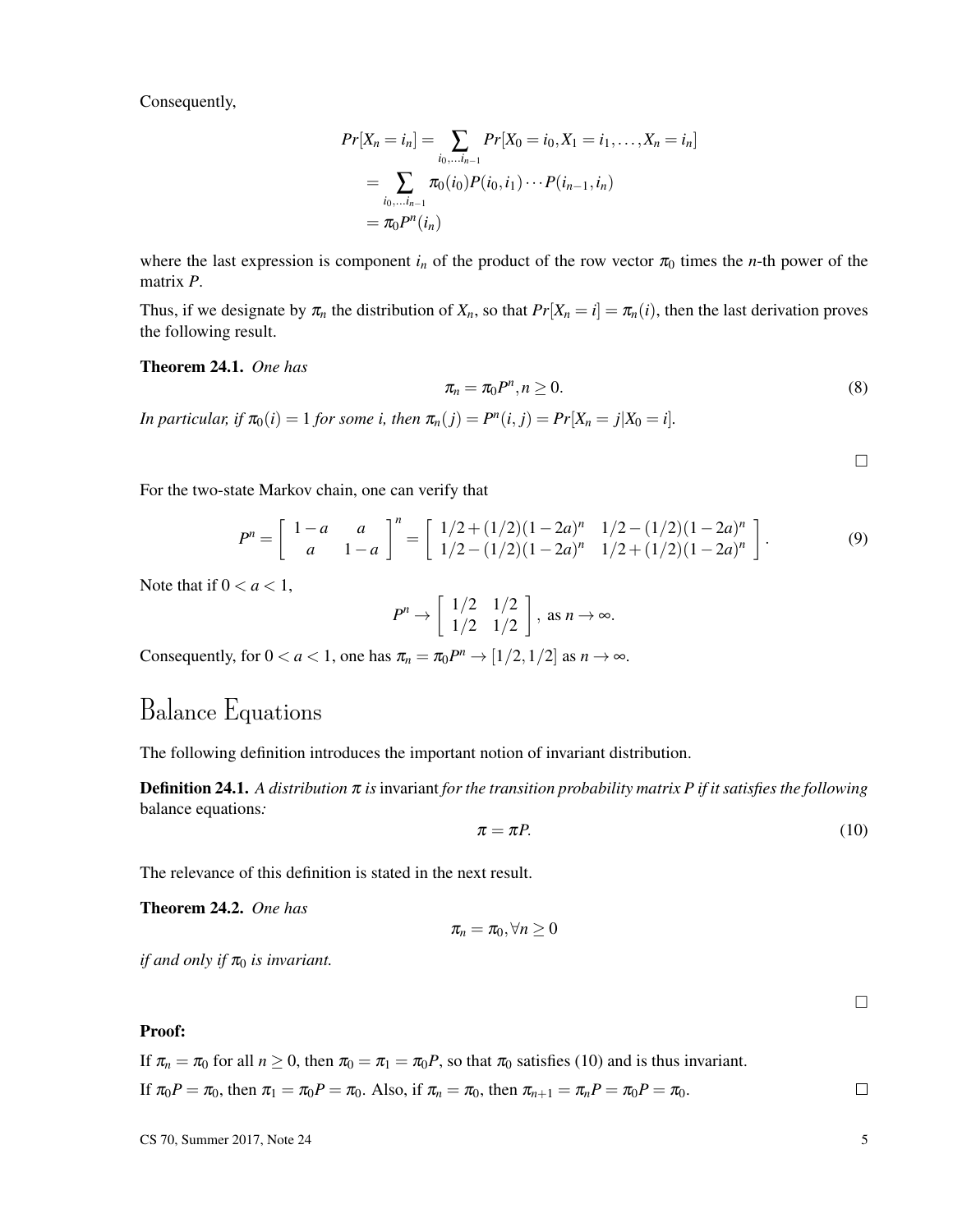Consequently,

$$
Pr[X_n = i_n] = \sum_{i_0, \dots, i_{n-1}} Pr[X_0 = i_0, X_1 = i_1, \dots, X_n = i_n]
$$
  
= 
$$
\sum_{i_0, \dots, i_{n-1}} \pi_0(i_0) P(i_0, i_1) \cdots P(i_{n-1}, i_n)
$$
  
= 
$$
\pi_0 P^n(i_n)
$$

where the last expression is component  $i_n$  of the product of the row vector  $\pi_0$  times the *n*-th power of the matrix *P*.

Thus, if we designate by  $\pi_n$  the distribution of  $X_n$ , so that  $Pr[X_n = i] = \pi_n(i)$ , then the last derivation proves the following result.

Theorem 24.1. *One has*

$$
\pi_n = \pi_0 P^n, n \ge 0. \tag{8}
$$

*In particular, if*  $\pi_0(i) = 1$  *for some i, then*  $\pi_n(j) = P^n(i, j) = Pr[X_n = j | X_0 = i].$ 

 $\Box$ 

For the two-state Markov chain, one can verify that

$$
P^{n} = \begin{bmatrix} 1-a & a \\ a & 1-a \end{bmatrix}^{n} = \begin{bmatrix} 1/2 + (1/2)(1-2a)^{n} & 1/2 - (1/2)(1-2a)^{n} \\ 1/2 - (1/2)(1-2a)^{n} & 1/2 + (1/2)(1-2a)^{n} \end{bmatrix}.
$$
 (9)

Note that if  $0 < a < 1$ ,

$$
P^n \to \left[\begin{array}{cc} 1/2 & 1/2 \\ 1/2 & 1/2 \end{array}\right], \text{ as } n \to \infty.
$$

Consequently, for  $0 < a < 1$ , one has  $\pi_n = \pi_0 P^n \rightarrow [1/2, 1/2]$  as  $n \rightarrow \infty$ .

# Balance Equations

The following definition introduces the important notion of invariant distribution.

**Definition 24.1.** *A distribution*  $\pi$  *is* invariant *for the transition probability matrix*  $P$  *if it satisfies the following* balance equations*:*

$$
\pi = \pi P. \tag{10}
$$

The relevance of this definition is stated in the next result.

Theorem 24.2. *One has*

$$
\pi_n=\pi_0, \forall n\geq 0
$$

*if and only if*  $\pi_0$  *is invariant.* 

### Proof:

If  $\pi_n = \pi_0$  for all  $n \ge 0$ , then  $\pi_0 = \pi_1 = \pi_0 P$ , so that  $\pi_0$  satisfies (10) and is thus invariant. If  $\pi_0 P = \pi_0$ , then  $\pi_1 = \pi_0 P = \pi_0$ . Also, if  $\pi_n = \pi_0$ , then  $\pi_{n+1} = \pi_n P = \pi_0 P = \pi_0$ .

 $\Box$ 

 $\Box$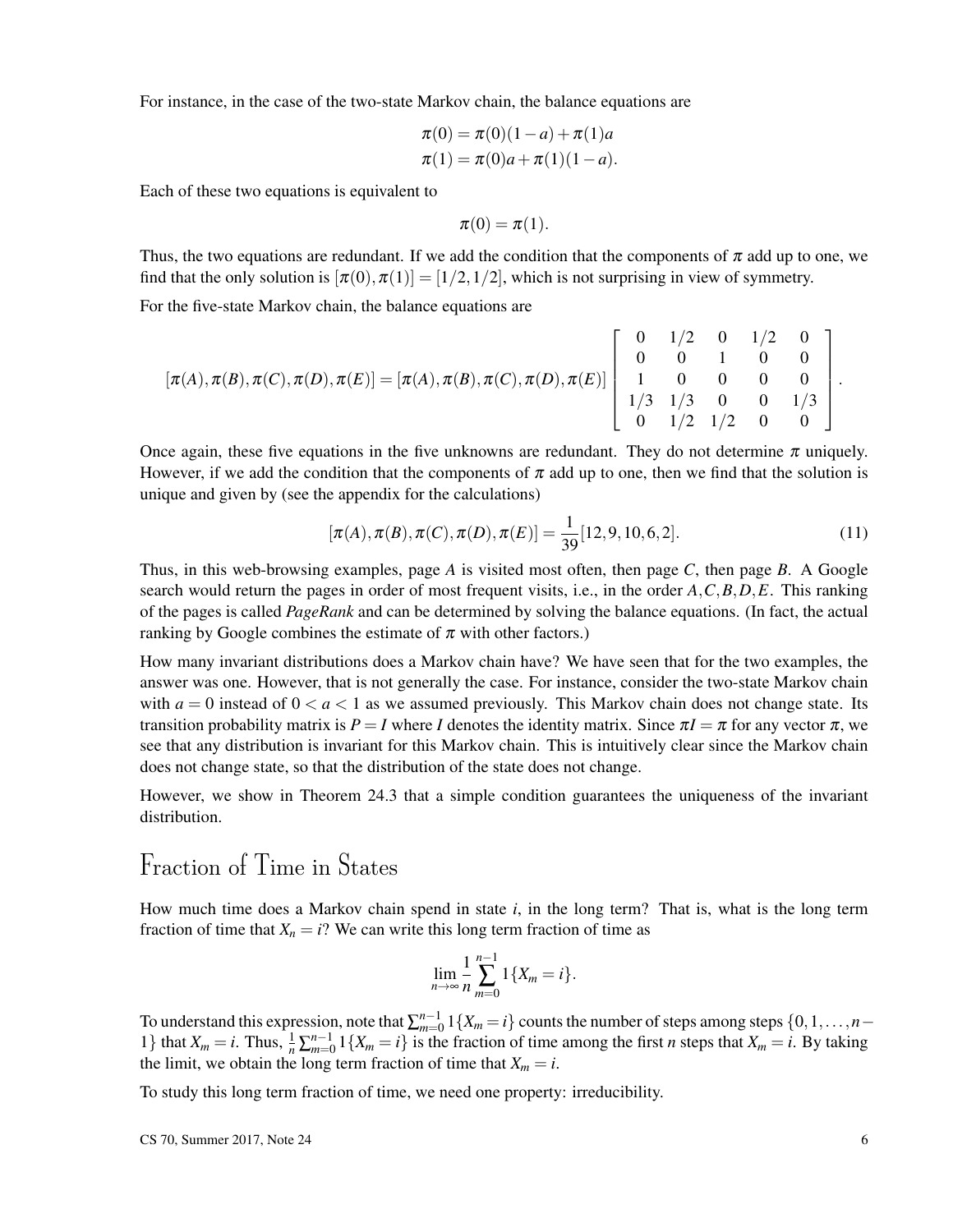For instance, in the case of the two-state Markov chain, the balance equations are

$$
\pi(0) = \pi(0)(1-a) + \pi(1)a
$$
  

$$
\pi(1) = \pi(0)a + \pi(1)(1-a).
$$

Each of these two equations is equivalent to

$$
\pi(0)=\pi(1).
$$

Thus, the two equations are redundant. If we add the condition that the components of  $\pi$  add up to one, we find that the only solution is  $[\pi(0), \pi(1)] = [1/2, 1/2]$ , which is not surprising in view of symmetry.

For the five-state Markov chain, the balance equations are

$$
[\pi(A), \pi(B), \pi(C), \pi(D), \pi(E)] = [\pi(A), \pi(B), \pi(C), \pi(D), \pi(E)] \begin{bmatrix} 0 & 1/2 & 0 & 1/2 & 0 \\ 0 & 0 & 1 & 0 & 0 \\ 1 & 0 & 0 & 0 & 0 \\ 1/3 & 1/3 & 0 & 0 & 1/3 \\ 0 & 1/2 & 1/2 & 0 & 0 \end{bmatrix}.
$$

Once again, these five equations in the five unknowns are redundant. They do not determine  $\pi$  uniquely. However, if we add the condition that the components of  $\pi$  add up to one, then we find that the solution is unique and given by (see the appendix for the calculations)

$$
[\pi(A), \pi(B), \pi(C), \pi(D), \pi(E)] = \frac{1}{39} [12, 9, 10, 6, 2].
$$
 (11)

Thus, in this web-browsing examples, page *A* is visited most often, then page *C*, then page *B*. A Google search would return the pages in order of most frequent visits, i.e., in the order *A*,*C*,*B*,*D*,*E*. This ranking of the pages is called *PageRank* and can be determined by solving the balance equations. (In fact, the actual ranking by Google combines the estimate of  $\pi$  with other factors.)

How many invariant distributions does a Markov chain have? We have seen that for the two examples, the answer was one. However, that is not generally the case. For instance, consider the two-state Markov chain with  $a = 0$  instead of  $0 < a < 1$  as we assumed previously. This Markov chain does not change state. Its transition probability matrix is  $P = I$  where *I* denotes the identity matrix. Since  $\pi I = \pi$  for any vector  $\pi$ , we see that any distribution is invariant for this Markov chain. This is intuitively clear since the Markov chain does not change state, so that the distribution of the state does not change.

However, we show in Theorem 24.3 that a simple condition guarantees the uniqueness of the invariant distribution.

# Fraction of Time in States

How much time does a Markov chain spend in state *i*, in the long term? That is, what is the long term fraction of time that  $X_n = i$ ? We can write this long term fraction of time as

$$
\lim_{n\to\infty}\frac{1}{n}\sum_{m=0}^{n-1}1\{X_m=i\}.
$$

To understand this expression, note that  $\sum_{m=0}^{n-1} 1\{X_m = i\}$  counts the number of steps among steps  $\{0,1,\ldots,n-1\}$ 1} that  $X_m = i$ . Thus,  $\frac{1}{n} \sum_{m=0}^{n-1} 1\{X_m = i\}$  is the fraction of time among the first *n* steps that  $X_m = i$ . By taking the limit, we obtain the long term fraction of time that  $X_m = i$ .

To study this long term fraction of time, we need one property: irreducibility.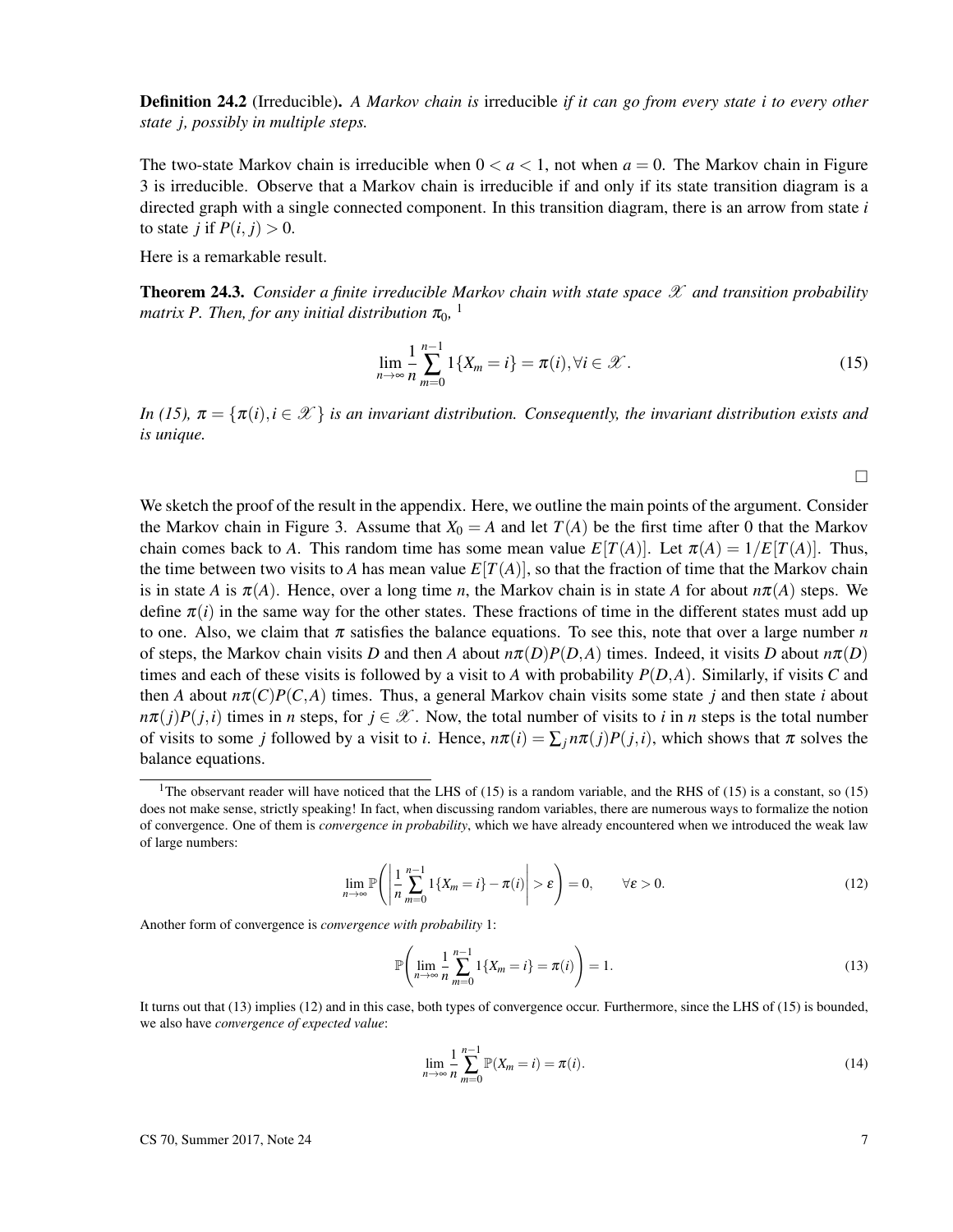Definition 24.2 (Irreducible). *A Markov chain is* irreducible *if it can go from every state i to every other state j, possibly in multiple steps.*

The two-state Markov chain is irreducible when  $0 < a < 1$ , not when  $a = 0$ . The Markov chain in Figure 3 is irreducible. Observe that a Markov chain is irreducible if and only if its state transition diagram is a directed graph with a single connected component. In this transition diagram, there is an arrow from state *i* to state *j* if  $P(i, j) > 0$ .

Here is a remarkable result.

**Theorem 24.3.** *Consider a finite irreducible Markov chain with state space*  $\mathscr X$  *and transition probability* matrix P. Then, for any initial distribution  $\pi_{0}$ , <sup>1</sup>

$$
\lim_{n \to \infty} \frac{1}{n} \sum_{m=0}^{n-1} 1\{X_m = i\} = \pi(i), \forall i \in \mathcal{X}.
$$
 (15)

*In (15),*  $\pi = {\pi(i), i \in \mathcal{X}}$  *is an invariant distribution. Consequently, the invariant distribution exists and is unique.*

 $\Box$ 

We sketch the proof of the result in the appendix. Here, we outline the main points of the argument. Consider the Markov chain in Figure 3. Assume that  $X_0 = A$  and let  $T(A)$  be the first time after 0 that the Markov chain comes back to *A*. This random time has some mean value  $E[T(A)]$ . Let  $\pi(A) = 1/E[T(A)]$ . Thus, the time between two visits to *A* has mean value  $E[T(A)]$ , so that the fraction of time that the Markov chain is in state *A* is  $\pi(A)$ . Hence, over a long time *n*, the Markov chain is in state *A* for about  $n\pi(A)$  steps. We define  $\pi(i)$  in the same way for the other states. These fractions of time in the different states must add up to one. Also, we claim that  $\pi$  satisfies the balance equations. To see this, note that over a large number  $n$ of steps, the Markov chain visits *D* and then *A* about  $n\pi(D)P(D,A)$  times. Indeed, it visits *D* about  $n\pi(D)$ times and each of these visits is followed by a visit to A with probability  $P(D, A)$ . Similarly, if visits C and then *A* about  $n\pi(C)P(C,A)$  times. Thus, a general Markov chain visits some state *j* and then state *i* about  $n\pi(j)P(j,i)$  times in *n* steps, for  $j \in \mathcal{X}$ . Now, the total number of visits to *i* in *n* steps is the total number of visits to some *j* followed by a visit to *i*. Hence,  $n\pi(i) = \sum_j n\pi(j)P(j,i)$ , which shows that  $\pi$  solves the balance equations.

$$
\lim_{n \to \infty} \mathbb{P}\left(\left|\frac{1}{n}\sum_{m=0}^{n-1} 1\{X_m = i\} - \pi(i)\right| > \varepsilon\right) = 0, \qquad \forall \varepsilon > 0.
$$
\n(12)

Another form of convergence is *convergence with probability* 1:

$$
\mathbb{P}\left(\lim_{n\to\infty}\frac{1}{n}\sum_{m=0}^{n-1}1\{X_m=i\}=\pi(i)\right)=1.
$$
 (13)

It turns out that (13) implies (12) and in this case, both types of convergence occur. Furthermore, since the LHS of (15) is bounded, we also have *convergence of expected value*:

$$
\lim_{n \to \infty} \frac{1}{n} \sum_{m=0}^{n-1} \mathbb{P}(X_m = i) = \pi(i).
$$
 (14)

<sup>&</sup>lt;sup>1</sup>The observant reader will have noticed that the LHS of (15) is a random variable, and the RHS of (15) is a constant, so (15) does not make sense, strictly speaking! In fact, when discussing random variables, there are numerous ways to formalize the notion of convergence. One of them is *convergence in probability*, which we have already encountered when we introduced the weak law of large numbers: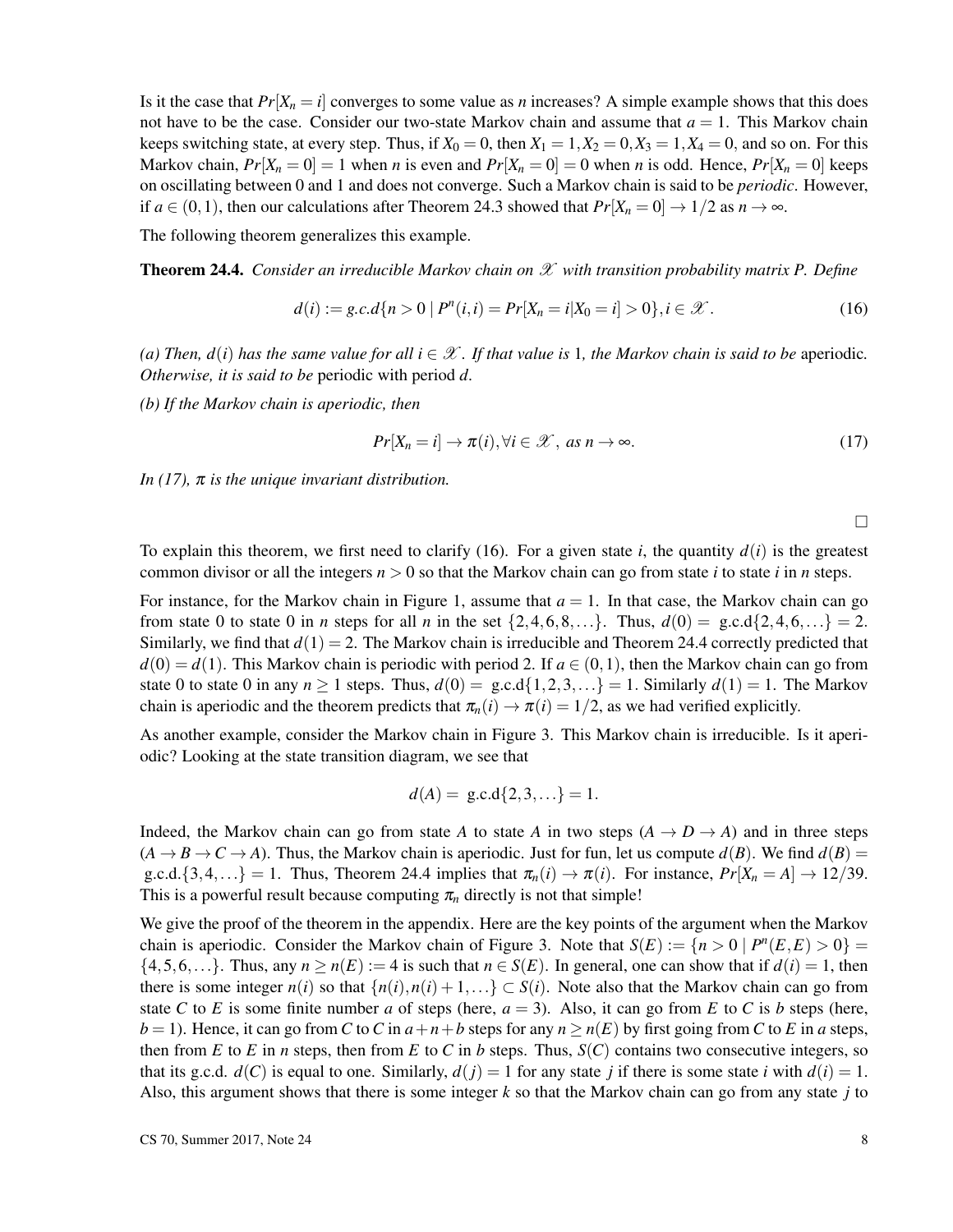Is it the case that  $Pr[X_n = i]$  converges to some value as *n* increases? A simple example shows that this does not have to be the case. Consider our two-state Markov chain and assume that  $a = 1$ . This Markov chain keeps switching state, at every step. Thus, if  $X_0 = 0$ , then  $X_1 = 1, X_2 = 0, X_3 = 1, X_4 = 0$ , and so on. For this Markov chain,  $Pr[X_n = 0] = 1$  when *n* is even and  $Pr[X_n = 0] = 0$  when *n* is odd. Hence,  $Pr[X_n = 0]$  keeps on oscillating between 0 and 1 and does not converge. Such a Markov chain is said to be *periodic*. However, if  $a \in (0,1)$ , then our calculations after Theorem 24.3 showed that  $Pr[X_n = 0] \rightarrow 1/2$  as  $n \rightarrow \infty$ .

The following theorem generalizes this example.

Theorem 24.4. *Consider an irreducible Markov chain on* X *with transition probability matrix P. Define*

$$
d(i) := g.c.d\{n > 0 \mid P^n(i,i) = Pr[X_n = i | X_0 = i] > 0\}, i \in \mathcal{X}.
$$
 (16)

(a) Then,  $d(i)$  has the same value for all  $i \in \mathcal{X}$ . If that value is 1, the Markov chain is said to be aperiodic. *Otherwise, it is said to be* periodic with period *d.*

*(b) If the Markov chain is aperiodic, then*

$$
Pr[X_n = i] \to \pi(i), \forall i \in \mathcal{X}, \text{ as } n \to \infty.
$$
 (17)

*In (17),* π *is the unique invariant distribution.*

 $\Box$ 

To explain this theorem, we first need to clarify (16). For a given state *i*, the quantity  $d(i)$  is the greatest common divisor or all the integers  $n > 0$  so that the Markov chain can go from state *i* to state *i* in *n* steps.

For instance, for the Markov chain in Figure 1, assume that  $a = 1$ . In that case, the Markov chain can go from state 0 to state 0 in *n* steps for all *n* in the set  $\{2, 4, 6, 8, ...\}$ . Thus,  $d(0) = \text{g.c.d.}\{2, 4, 6, ...\} = 2$ . Similarly, we find that  $d(1) = 2$ . The Markov chain is irreducible and Theorem 24.4 correctly predicted that  $d(0) = d(1)$ . This Markov chain is periodic with period 2. If  $a \in (0,1)$ , then the Markov chain can go from state 0 to state 0 in any  $n \ge 1$  steps. Thus,  $d(0) = \text{g.c.d.}\{1,2,3,...\} = 1$ . Similarly  $d(1) = 1$ . The Markov chain is aperiodic and the theorem predicts that  $\pi_n(i) \to \pi(i) = 1/2$ , as we had verified explicitly.

As another example, consider the Markov chain in Figure 3. This Markov chain is irreducible. Is it aperiodic? Looking at the state transition diagram, we see that

$$
d(A) = g.c.d\{2,3,...\} = 1.
$$

Indeed, the Markov chain can go from state *A* to state *A* in two steps  $(A \rightarrow D \rightarrow A)$  and in three steps  $(A \rightarrow B \rightarrow C \rightarrow A)$ . Thus, the Markov chain is aperiodic. Just for fun, let us compute  $d(B)$ . We find  $d(B)$  = g.c.d.{3,4,...} = 1. Thus, Theorem 24.4 implies that  $\pi_n(i) \to \pi(i)$ . For instance,  $Pr[X_n = A] \to 12/39$ . This is a powerful result because computing  $\pi_n$  directly is not that simple!

We give the proof of the theorem in the appendix. Here are the key points of the argument when the Markov chain is aperiodic. Consider the Markov chain of Figure 3. Note that  $S(E) := \{n > 0 \mid P^n(E, E) > 0\}$  $\{4,5,6,...\}$ . Thus, any  $n \ge n(E) := 4$  is such that  $n \in S(E)$ . In general, one can show that if  $d(i) = 1$ , then there is some integer  $n(i)$  so that  $\{n(i), n(i) + 1, ...\} \subset S(i)$ . Note also that the Markov chain can go from state *C* to *E* is some finite number *a* of steps (here,  $a = 3$ ). Also, it can go from *E* to *C* is *b* steps (here,  $b = 1$ ). Hence, it can go from *C* to *C* in  $a+n+b$  steps for any  $n \ge n(E)$  by first going from *C* to *E* in *a* steps, then from *E* to *E* in *n* steps, then from *E* to *C* in *b* steps. Thus,  $S(C)$  contains two consecutive integers, so that its g.c.d.  $d(C)$  is equal to one. Similarly,  $d(i) = 1$  for any state *j* if there is some state *i* with  $d(i) = 1$ . Also, this argument shows that there is some integer *k* so that the Markov chain can go from any state *j* to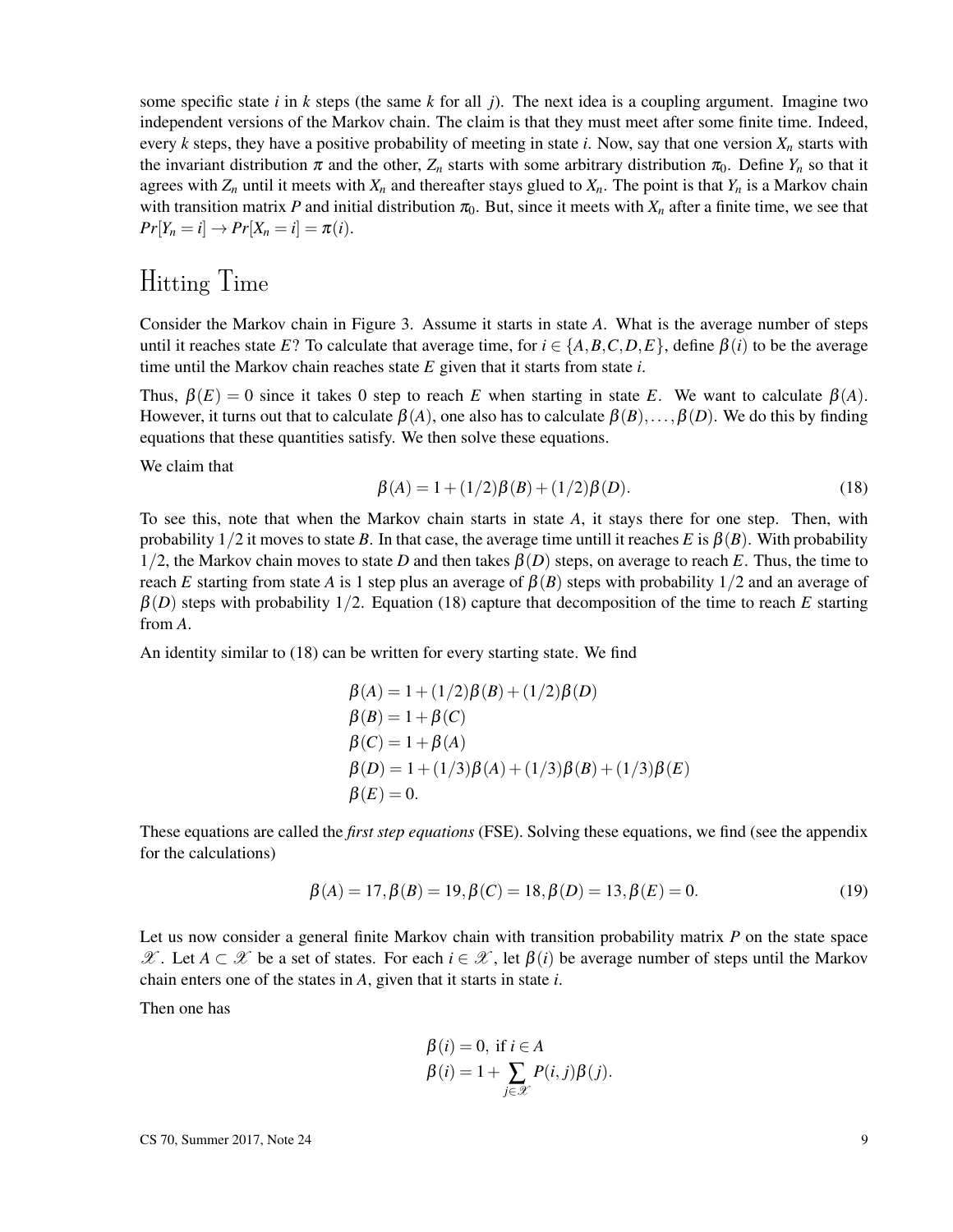some specific state *i* in *k* steps (the same *k* for all *j*). The next idea is a coupling argument. Imagine two independent versions of the Markov chain. The claim is that they must meet after some finite time. Indeed, every *k* steps, they have a positive probability of meeting in state *i*. Now, say that one version *X<sup>n</sup>* starts with the invariant distribution  $\pi$  and the other,  $Z_n$  starts with some arbitrary distribution  $\pi_0$ . Define  $Y_n$  so that it agrees with  $Z_n$  until it meets with  $X_n$  and thereafter stays glued to  $X_n$ . The point is that  $Y_n$  is a Markov chain with transition matrix *P* and initial distribution  $\pi_0$ . But, since it meets with  $X_n$  after a finite time, we see that  $Pr[Y_n = i] \to Pr[X_n = i] = \pi(i).$ 

# Hitting Time

Consider the Markov chain in Figure 3. Assume it starts in state *A*. What is the average number of steps until it reaches state *E*? To calculate that average time, for  $i \in \{A, B, C, D, E\}$ , define  $\beta(i)$  to be the average time until the Markov chain reaches state *E* given that it starts from state *i*.

Thus,  $\beta(E) = 0$  since it takes 0 step to reach *E* when starting in state *E*. We want to calculate  $\beta(A)$ . However, it turns out that to calculate  $\beta(A)$ , one also has to calculate  $\beta(B), \ldots, \beta(D)$ . We do this by finding equations that these quantities satisfy. We then solve these equations.

We claim that

$$
\beta(A) = 1 + (1/2)\beta(B) + (1/2)\beta(D). \tag{18}
$$

To see this, note that when the Markov chain starts in state *A*, it stays there for one step. Then, with probability  $1/2$  it moves to state *B*. In that case, the average time untill it reaches *E* is  $\beta(B)$ . With probability 1/2, the Markov chain moves to state *D* and then takes  $\beta(D)$  steps, on average to reach *E*. Thus, the time to reach *E* starting from state *A* is 1 step plus an average of  $\beta(B)$  steps with probability 1/2 and an average of  $\beta(D)$  steps with probability 1/2. Equation (18) capture that decomposition of the time to reach *E* starting from *A*.

An identity similar to (18) can be written for every starting state. We find

$$
\beta(A) = 1 + (1/2)\beta(B) + (1/2)\beta(D)
$$
  
\n
$$
\beta(B) = 1 + \beta(C)
$$
  
\n
$$
\beta(C) = 1 + \beta(A)
$$
  
\n
$$
\beta(D) = 1 + (1/3)\beta(A) + (1/3)\beta(B) + (1/3)\beta(E)
$$
  
\n
$$
\beta(E) = 0.
$$

These equations are called the *first step equations* (FSE). Solving these equations, we find (see the appendix for the calculations)

$$
\beta(A) = 17, \beta(B) = 19, \beta(C) = 18, \beta(D) = 13, \beta(E) = 0.
$$
\n(19)

Let us now consider a general finite Markov chain with transition probability matrix *P* on the state space  $X$ . Let *A* ⊂ X be a set of states. For each *i* ∈ X, let  $β(i)$  be average number of steps until the Markov chain enters one of the states in *A*, given that it starts in state *i*.

Then one has

$$
\beta(i) = 0, \text{ if } i \in A
$$
  

$$
\beta(i) = 1 + \sum_{j \in \mathcal{X}} P(i, j)\beta(j).
$$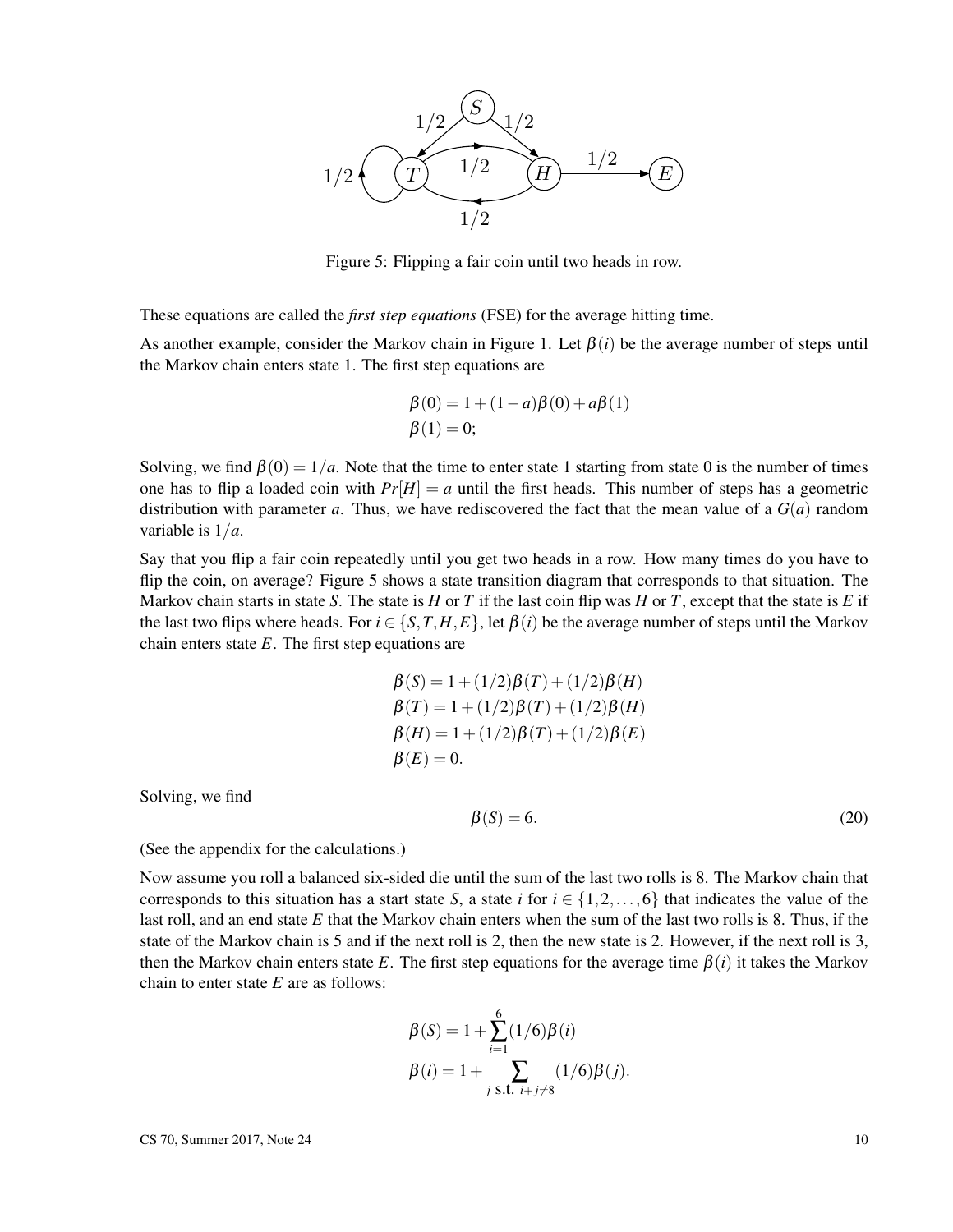

Figure 5: Flipping a fair coin until two heads in row.

These equations are called the *first step equations* (FSE) for the average hitting time.

As another example, consider the Markov chain in Figure 1. Let  $\beta(i)$  be the average number of steps until the Markov chain enters state 1. The first step equations are

$$
\beta(0) = 1 + (1 - a)\beta(0) + a\beta(1) \n\beta(1) = 0;
$$

Solving, we find  $\beta(0) = 1/a$ . Note that the time to enter state 1 starting from state 0 is the number of times one has to flip a loaded coin with  $Pr[H] = a$  until the first heads. This number of steps has a geometric distribution with parameter *a*. Thus, we have rediscovered the fact that the mean value of a  $G(a)$  random variable is 1/*a*.

Say that you flip a fair coin repeatedly until you get two heads in a row. How many times do you have to flip the coin, on average? Figure 5 shows a state transition diagram that corresponds to that situation. The Markov chain starts in state *S*. The state is *H* or *T* if the last coin flip was *H* or *T*, except that the state is *E* if the last two flips where heads. For  $i \in \{S, T, H, E\}$ , let  $\beta(i)$  be the average number of steps until the Markov chain enters state *E*. The first step equations are

$$
\beta(S) = 1 + (1/2)\beta(T) + (1/2)\beta(H)
$$
  
\n
$$
\beta(T) = 1 + (1/2)\beta(T) + (1/2)\beta(H)
$$
  
\n
$$
\beta(H) = 1 + (1/2)\beta(T) + (1/2)\beta(E)
$$
  
\n
$$
\beta(E) = 0.
$$

Solving, we find

$$
\beta(S) = 6.\tag{20}
$$

(See the appendix for the calculations.)

Now assume you roll a balanced six-sided die until the sum of the last two rolls is 8. The Markov chain that corresponds to this situation has a start state *S*, a state *i* for  $i \in \{1, 2, ..., 6\}$  that indicates the value of the last roll, and an end state *E* that the Markov chain enters when the sum of the last two rolls is 8. Thus, if the state of the Markov chain is 5 and if the next roll is 2, then the new state is 2. However, if the next roll is 3, then the Markov chain enters state *E*. The first step equations for the average time  $\beta(i)$  it takes the Markov chain to enter state *E* are as follows:

$$
\beta(S) = 1 + \sum_{i=1}^{6} (1/6) \beta(i)
$$
  
 
$$
\beta(i) = 1 + \sum_{j \text{ s.t. } i+j \neq 8} (1/6) \beta(j).
$$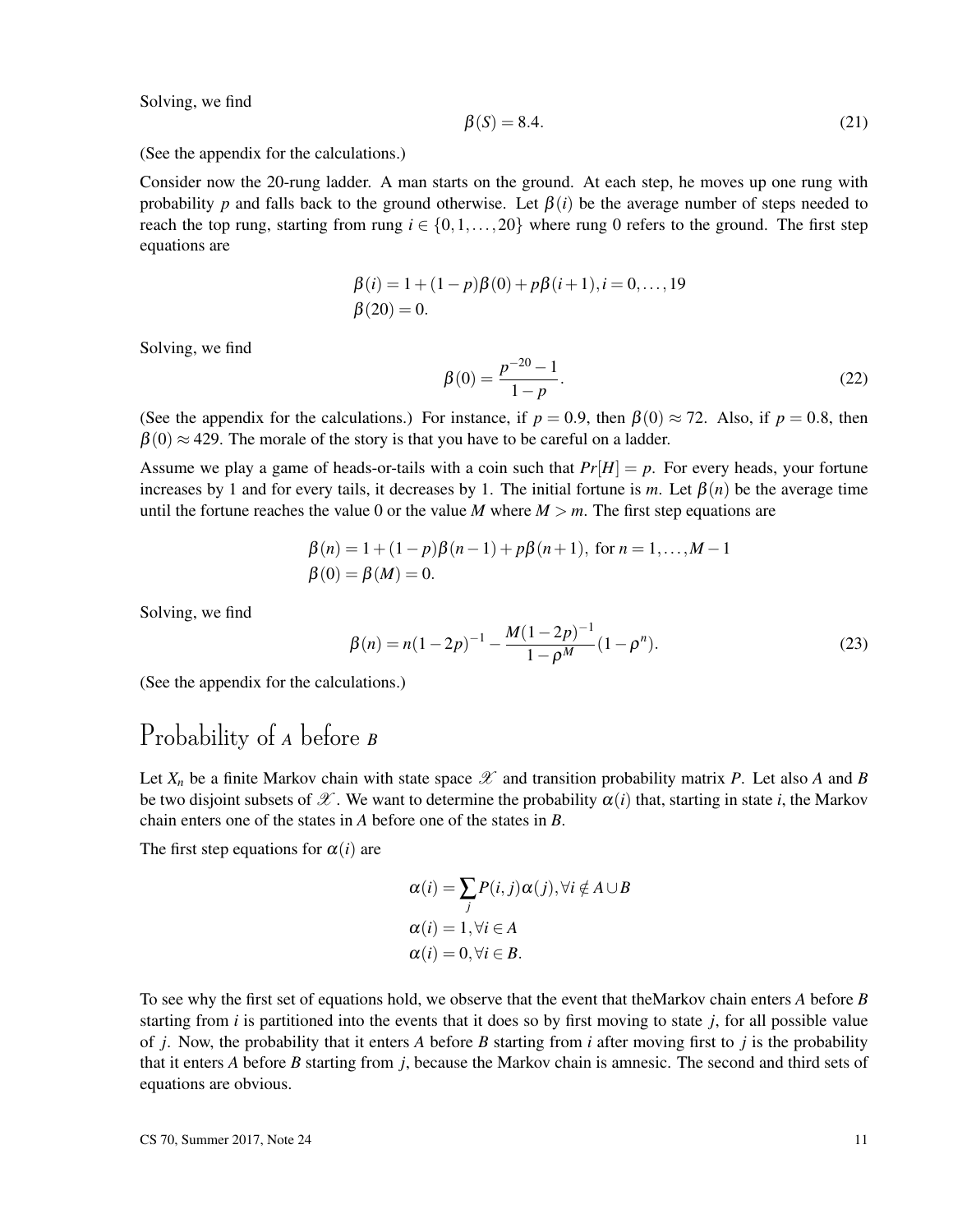Solving, we find

$$
\beta(S) = 8.4.\tag{21}
$$

(See the appendix for the calculations.)

Consider now the 20-rung ladder. A man starts on the ground. At each step, he moves up one rung with probability *p* and falls back to the ground otherwise. Let  $\beta(i)$  be the average number of steps needed to reach the top rung, starting from rung  $i \in \{0, 1, \ldots, 20\}$  where rung 0 refers to the ground. The first step equations are

$$
\beta(i) = 1 + (1 - p)\beta(0) + p\beta(i + 1), i = 0, ..., 19
$$
  

$$
\beta(20) = 0.
$$

Solving, we find

$$
\beta(0) = \frac{p^{-20} - 1}{1 - p}.\tag{22}
$$

(See the appendix for the calculations.) For instance, if  $p = 0.9$ , then  $\beta(0) \approx 72$ . Also, if  $p = 0.8$ , then  $\beta(0) \approx 429$ . The morale of the story is that you have to be careful on a ladder.

Assume we play a game of heads-or-tails with a coin such that  $Pr[H] = p$ . For every heads, your fortune increases by 1 and for every tails, it decreases by 1. The initial fortune is *m*. Let  $\beta(n)$  be the average time until the fortune reaches the value 0 or the value *M* where  $M > m$ . The first step equations are

$$
\beta(n) = 1 + (1 - p)\beta(n - 1) + p\beta(n + 1), \text{ for } n = 1,..., M - 1
$$
  

$$
\beta(0) = \beta(M) = 0.
$$

Solving, we find

$$
\beta(n) = n(1 - 2p)^{-1} - \frac{M(1 - 2p)^{-1}}{1 - \rho^M} (1 - \rho^n).
$$
\n(23)

(See the appendix for the calculations.)

## Probability of *A* before *B*

Let  $X_n$  be a finite Markov chain with state space  $\mathscr X$  and transition probability matrix P. Let also A and B be two disjoint subsets of  $\mathscr X$ . We want to determine the probability  $\alpha(i)$  that, starting in state *i*, the Markov chain enters one of the states in *A* before one of the states in *B*.

The first step equations for  $\alpha(i)$  are

$$
\alpha(i) = \sum_{j} P(i, j) \alpha(j), \forall i \notin A \cup B
$$
  
\n
$$
\alpha(i) = 1, \forall i \in A
$$
  
\n
$$
\alpha(i) = 0, \forall i \in B.
$$

To see why the first set of equations hold, we observe that the event that theMarkov chain enters *A* before *B* starting from *i* is partitioned into the events that it does so by first moving to state *j*, for all possible value of *j*. Now, the probability that it enters *A* before *B* starting from *i* after moving first to *j* is the probability that it enters *A* before *B* starting from *j*, because the Markov chain is amnesic. The second and third sets of equations are obvious.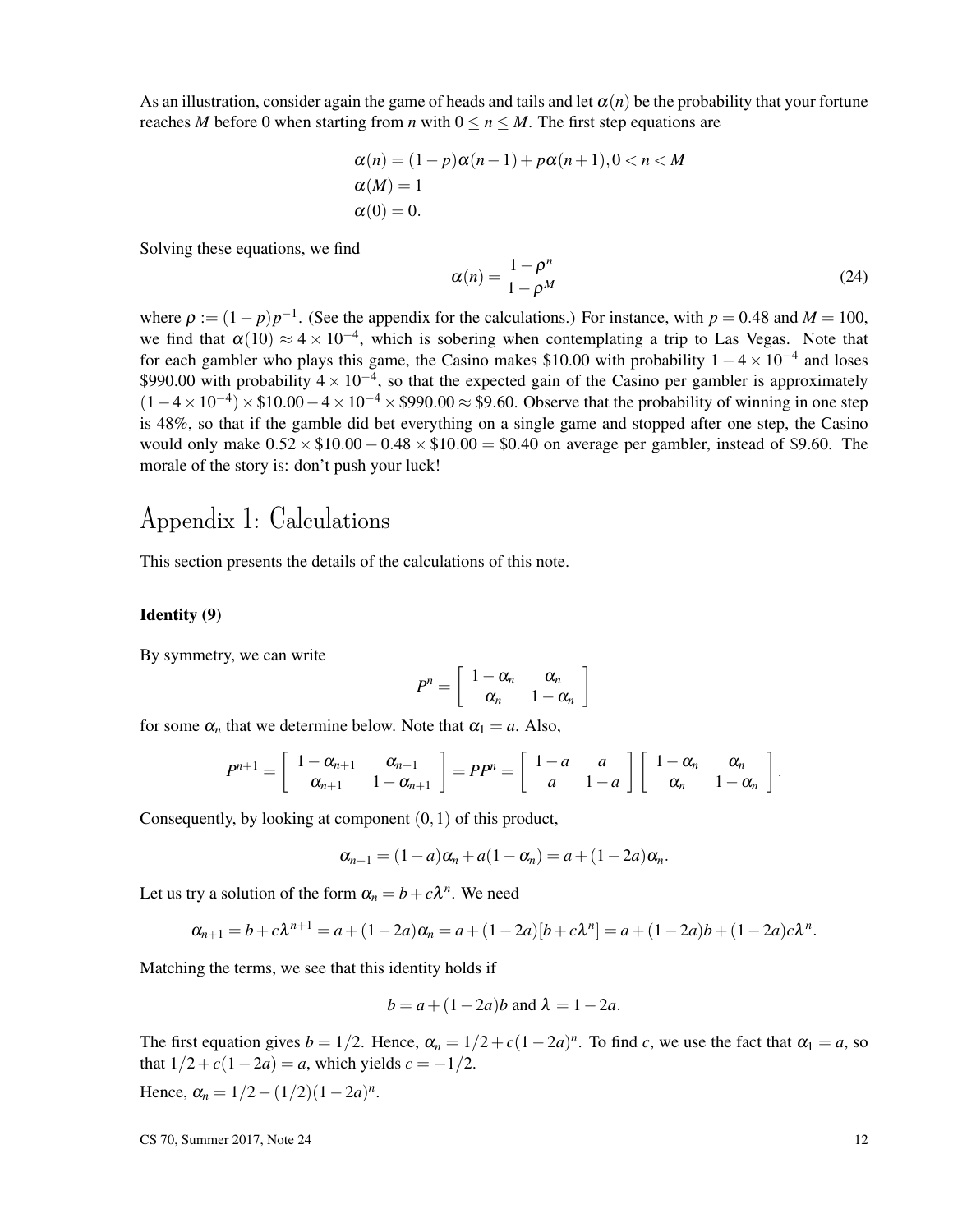As an illustration, consider again the game of heads and tails and let  $\alpha(n)$  be the probability that your fortune reaches *M* before 0 when starting from *n* with  $0 \le n \le M$ . The first step equations are

$$
\alpha(n) = (1 - p)\alpha(n - 1) + p\alpha(n + 1), 0 < n < M
$$
\n
$$
\alpha(M) = 1
$$
\n
$$
\alpha(0) = 0.
$$

Solving these equations, we find

$$
\alpha(n) = \frac{1 - \rho^n}{1 - \rho^M} \tag{24}
$$

where  $\rho := (1 - p)p^{-1}$ . (See the appendix for the calculations.) For instance, with  $p = 0.48$  and  $M = 100$ , we find that  $\alpha(10) \approx 4 \times 10^{-4}$ , which is sobering when contemplating a trip to Las Vegas. Note that for each gambler who plays this game, the Casino makes \$10.00 with probability  $1 - 4 \times 10^{-4}$  and loses \$990.00 with probability  $4 \times 10^{-4}$ , so that the expected gain of the Casino per gambler is approximately  $(1-4\times10^{-4})\times$10.00-4\times10^{-4}\times$990.00\approx$9.60. Observe that the probability of winning in one step$ is 48%, so that if the gamble did bet everything on a single game and stopped after one step, the Casino would only make  $0.52 \times \$10.00 - 0.48 \times \$10.00 = \$0.40$  on average per gambler, instead of \$9.60. The morale of the story is: don't push your luck!

# Appendix 1: Calculations

This section presents the details of the calculations of this note.

### Identity (9)

By symmetry, we can write

$$
P^n = \left[ \begin{array}{cc} 1 - \alpha_n & \alpha_n \\ \alpha_n & 1 - \alpha_n \end{array} \right]
$$

for some  $\alpha_n$  that we determine below. Note that  $\alpha_1 = a$ . Also,

$$
P^{n+1}=\left[\begin{array}{cc}1-\alpha_{n+1}&\alpha_{n+1}\\ \alpha_{n+1}&1-\alpha_{n+1}\end{array}\right]=PP^n=\left[\begin{array}{cc}1-a&a\\ a&1-a\end{array}\right]\left[\begin{array}{cc}1-\alpha_n&\alpha_n\\ \alpha_n&1-\alpha_n\end{array}\right].
$$

Consequently, by looking at component  $(0,1)$  of this product,

$$
\alpha_{n+1}=(1-a)\alpha_n+a(1-\alpha_n)=a+(1-2a)\alpha_n.
$$

Let us try a solution of the form  $\alpha_n = b + c\lambda^n$ . We need

$$
\alpha_{n+1} = b + c\lambda^{n+1} = a + (1 - 2a)\alpha_n = a + (1 - 2a)[b + c\lambda^n] = a + (1 - 2a)b + (1 - 2a)c\lambda^n.
$$

Matching the terms, we see that this identity holds if

$$
b = a + (1 - 2a)b
$$
 and  $\lambda = 1 - 2a$ .

The first equation gives  $b = 1/2$ . Hence,  $\alpha_n = 1/2 + c(1-2a)^n$ . To find *c*, we use the fact that  $\alpha_1 = a$ , so that  $1/2 + c(1-2a) = a$ , which yields  $c = -1/2$ .

Hence,  $\alpha_n = 1/2 - (1/2)(1-2a)^n$ .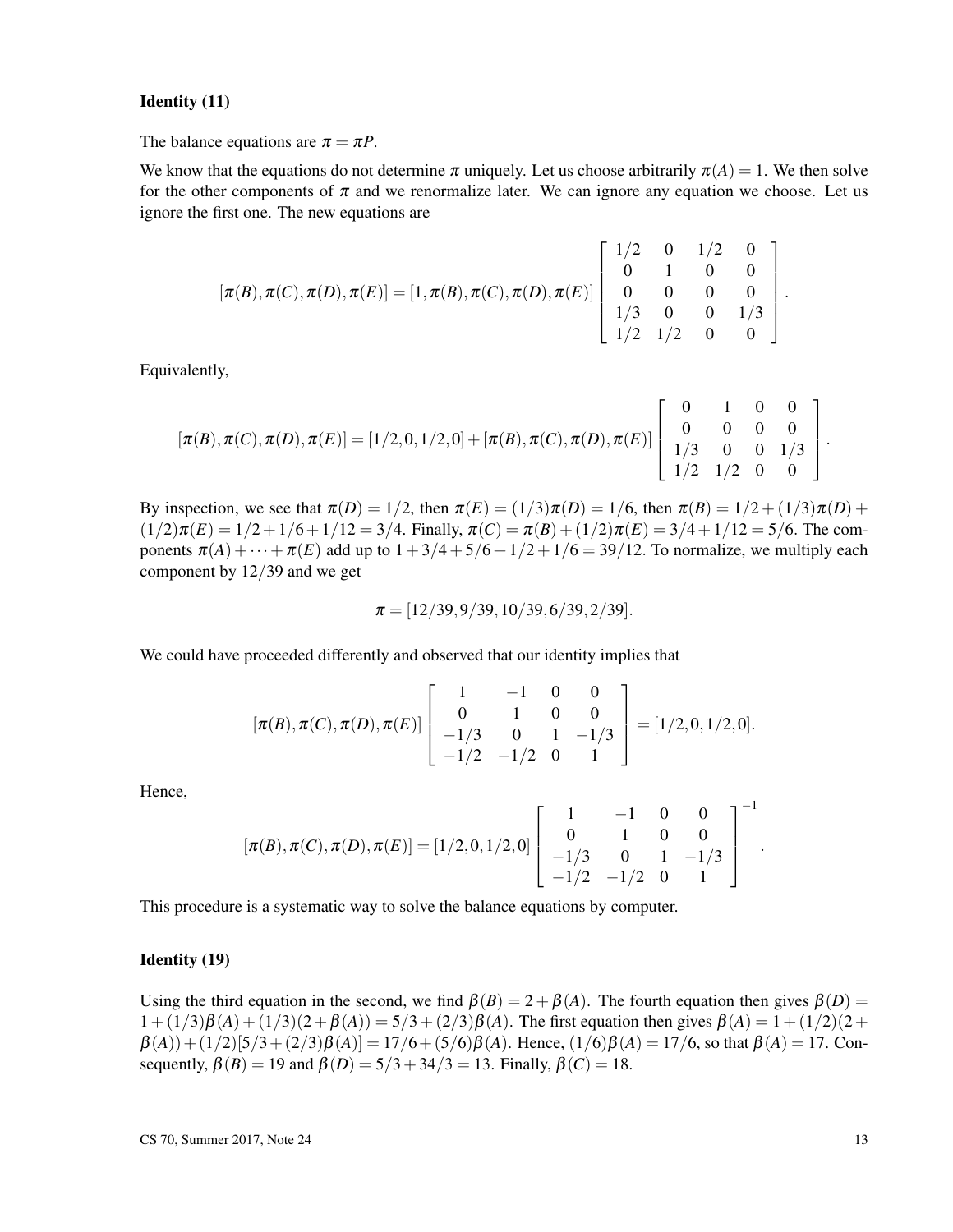### Identity (11)

The balance equations are  $\pi = \pi P$ .

We know that the equations do not determine  $\pi$  uniquely. Let us choose arbitrarily  $\pi(A) = 1$ . We then solve for the other components of  $\pi$  and we renormalize later. We can ignore any equation we choose. Let us ignore the first one. The new equations are

$$
[\pi(B), \pi(C), \pi(D), \pi(E)] = [1, \pi(B), \pi(C), \pi(D), \pi(E)] \begin{bmatrix} 1/2 & 0 & 1/2 & 0 \\ 0 & 1 & 0 & 0 \\ 0 & 0 & 0 & 0 \\ 1/3 & 0 & 0 & 1/3 \\ 1/2 & 1/2 & 0 & 0 \end{bmatrix}.
$$

Equivalently,

$$
[\pi(B), \pi(C), \pi(D), \pi(E)] = [1/2, 0, 1/2, 0] + [\pi(B), \pi(C), \pi(D), \pi(E)] \begin{bmatrix} 0 & 1 & 0 & 0 \\ 0 & 0 & 0 & 0 \\ 1/3 & 0 & 0 & 1/3 \\ 1/2 & 1/2 & 0 & 0 \end{bmatrix}.
$$

By inspection, we see that  $\pi(D) = 1/2$ , then  $\pi(E) = (1/3)\pi(D) = 1/6$ , then  $\pi(B) = 1/2 + (1/3)\pi(D) +$  $(\frac{1}{2})\pi(E) = \frac{1}{2} + \frac{1}{6} + \frac{1}{12} = \frac{3}{4}$ . Finally,  $\pi(C) = \pi(B) + \frac{1}{2}\pi(E) = \frac{3}{4} + \frac{1}{12} = \frac{5}{6}$ . The components  $\pi(A) + \cdots + \pi(E)$  add up to  $1 + 3/4 + 5/6 + 1/2 + 1/6 = 39/12$ . To normalize, we multiply each component by 12/39 and we get

$$
\pi = [12/39, 9/39, 10/39, 6/39, 2/39].
$$

We could have proceeded differently and observed that our identity implies that

$$
[\pi(B), \pi(C), \pi(D), \pi(E)] \begin{bmatrix} 1 & -1 & 0 & 0 \\ 0 & 1 & 0 & 0 \\ -1/3 & 0 & 1 & -1/3 \\ -1/2 & -1/2 & 0 & 1 \end{bmatrix} = [1/2, 0, 1/2, 0].
$$

Hence,

$$
[\pi(B), \pi(C), \pi(D), \pi(E)] = [1/2, 0, 1/2, 0] \begin{bmatrix} 1 & -1 & 0 & 0 \\ 0 & 1 & 0 & 0 \\ -1/3 & 0 & 1 & -1/3 \\ -1/2 & -1/2 & 0 & 1 \end{bmatrix}^{-1}.
$$

This procedure is a systematic way to solve the balance equations by computer.

### Identity (19)

Using the third equation in the second, we find  $\beta(B) = 2 + \beta(A)$ . The fourth equation then gives  $\beta(D) =$  $1 + (1/3)\beta(A) + (1/3)(2 + \beta(A)) = 5/3 + (2/3)\beta(A)$ . The first equation then gives  $\beta(A) = 1 + (1/2)(2 +$ β(*A*))+ (1/2)[5/3+ (2/3)β(*A*)] = 17/6+ (5/6)β(*A*). Hence, (1/6)β(*A*) = 17/6, so that β(*A*) = 17. Consequently,  $\beta(B) = 19$  and  $\beta(D) = 5/3 + 34/3 = 13$ . Finally,  $\beta(C) = 18$ .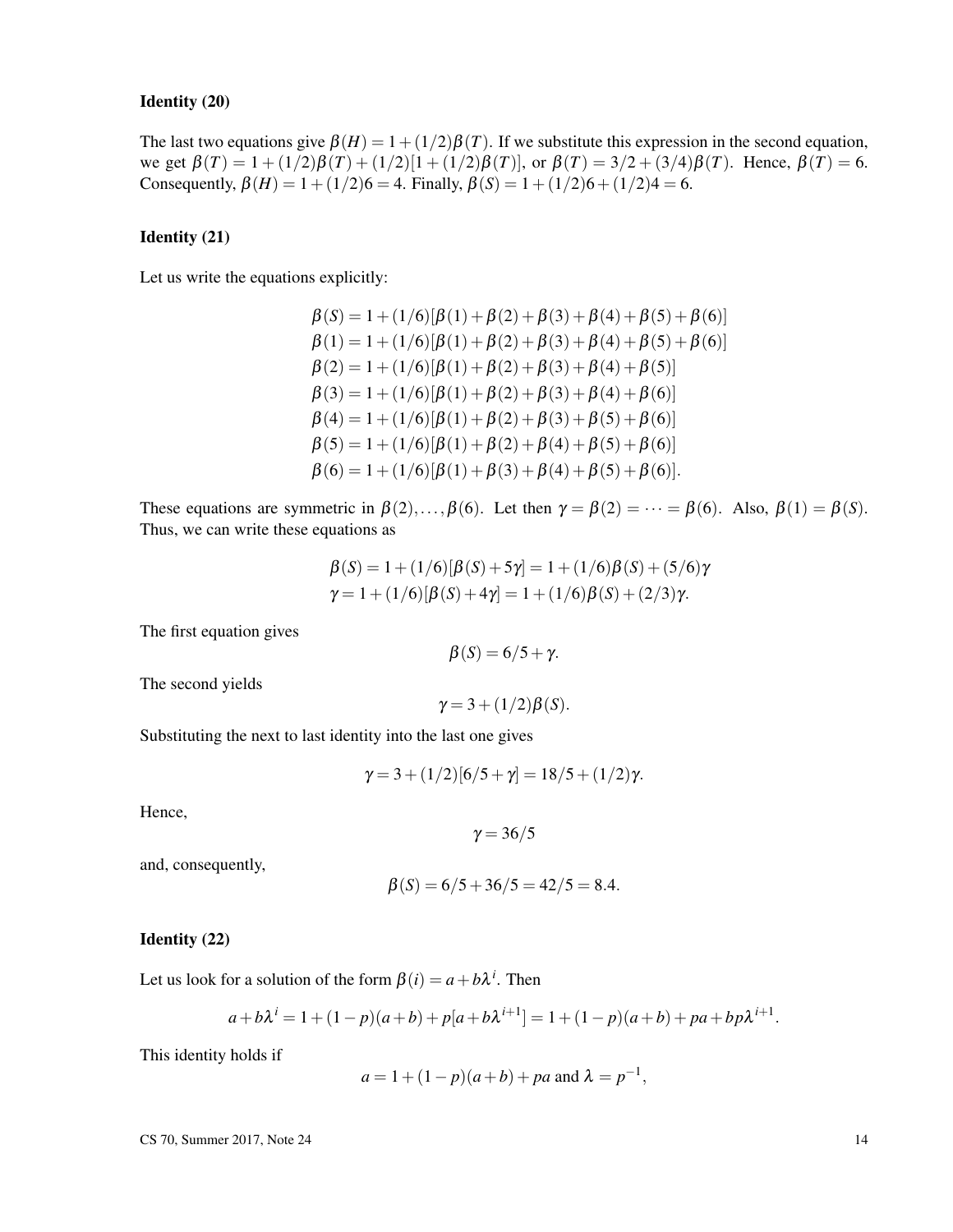### Identity (20)

The last two equations give  $\beta(H) = 1 + (1/2)\beta(T)$ . If we substitute this expression in the second equation, we get  $\beta(T) = 1 + (1/2)\beta(T) + (1/2)[1 + (1/2)\beta(T)]$ , or  $\beta(T) = 3/2 + (3/4)\beta(T)$ . Hence,  $\beta(T) = 6$ . Consequently,  $\beta(H) = 1 + (1/2)6 = 4$ . Finally,  $\beta(S) = 1 + (1/2)6 + (1/2)4 = 6$ .

### Identity (21)

Let us write the equations explicitly:

$$
\beta(S) = 1 + (1/6)[\beta(1) + \beta(2) + \beta(3) + \beta(4) + \beta(5) + \beta(6)]
$$
  
\n
$$
\beta(1) = 1 + (1/6)[\beta(1) + \beta(2) + \beta(3) + \beta(4) + \beta(5) + \beta(6)]
$$
  
\n
$$
\beta(2) = 1 + (1/6)[\beta(1) + \beta(2) + \beta(3) + \beta(4) + \beta(5)]
$$
  
\n
$$
\beta(3) = 1 + (1/6)[\beta(1) + \beta(2) + \beta(3) + \beta(4) + \beta(6)]
$$
  
\n
$$
\beta(4) = 1 + (1/6)[\beta(1) + \beta(2) + \beta(3) + \beta(5) + \beta(6)]
$$
  
\n
$$
\beta(5) = 1 + (1/6)[\beta(1) + \beta(2) + \beta(4) + \beta(5) + \beta(6)]
$$
  
\n
$$
\beta(6) = 1 + (1/6)[\beta(1) + \beta(3) + \beta(4) + \beta(5) + \beta(6)].
$$

These equations are symmetric in  $\beta(2),...,\beta(6)$ . Let then  $\gamma = \beta(2) = \cdots = \beta(6)$ . Also,  $\beta(1) = \beta(5)$ . Thus, we can write these equations as

$$
\beta(S) = 1 + (1/6)[\beta(S) + 5\gamma] = 1 + (1/6)\beta(S) + (5/6)\gamma
$$
  

$$
\gamma = 1 + (1/6)[\beta(S) + 4\gamma] = 1 + (1/6)\beta(S) + (2/3)\gamma.
$$

The first equation gives

$$
\beta(S) = 6/5 + \gamma.
$$

The second yields

$$
\gamma = 3 + (1/2)\beta(S).
$$

Substituting the next to last identity into the last one gives

$$
\gamma = 3 + (1/2)[6/5 + \gamma] = 18/5 + (1/2)\gamma.
$$

Hence,

 $γ = 36/5$ 

and, consequently,

$$
\beta(S) = 6/5 + 36/5 = 42/5 = 8.4.
$$

#### Identity (22)

Let us look for a solution of the form  $\beta(i) = a + b\lambda^{i}$ . Then

$$
a+b\lambda^{i} = 1 + (1-p)(a+b) + p[a+b\lambda^{i+1}] = 1 + (1-p)(a+b) + pa + bp\lambda^{i+1}.
$$

This identity holds if

$$
a = 1 + (1 - p)(a + b) + pa
$$
 and  $\lambda = p^{-1}$ ,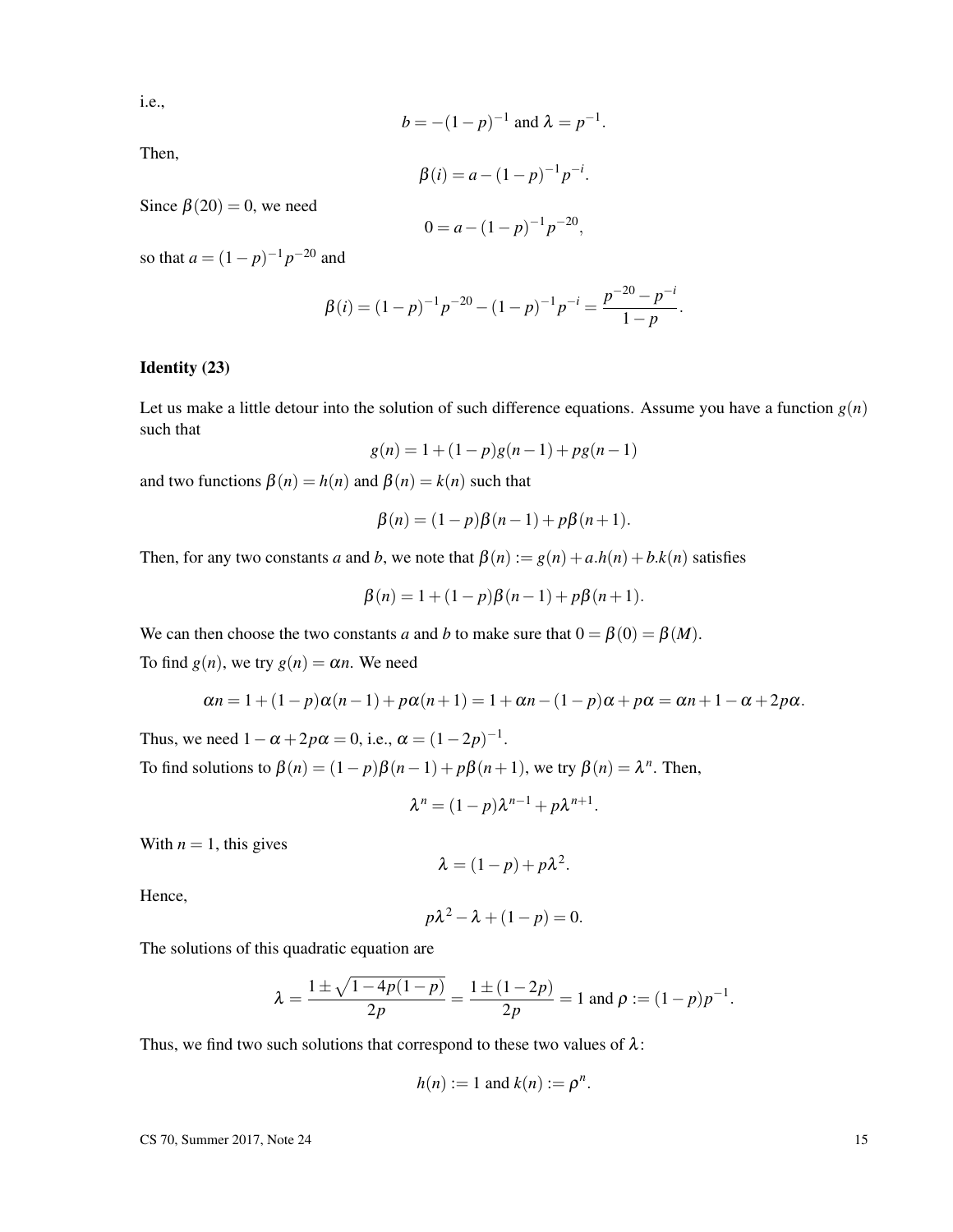i.e.,

$$
b = -(1-p)^{-1}
$$
 and  $\lambda = p^{-1}$ 

.

Then,

$$
\beta(i) = a - (1 - p)^{-1} p^{-i}.
$$

Since  $\beta(20) = 0$ , we need

$$
0 = a - (1 - p)^{-1} p^{-20},
$$

so that  $a = (1-p)^{-1}p^{-20}$  and

$$
\beta(i) = (1-p)^{-1}p^{-20} - (1-p)^{-1}p^{-i} = \frac{p^{-20} - p^{-i}}{1-p}.
$$

### Identity (23)

Let us make a little detour into the solution of such difference equations. Assume you have a function  $g(n)$ such that

$$
g(n) = 1 + (1 - p)g(n - 1) + pg(n - 1)
$$

and two functions  $\beta(n) = h(n)$  and  $\beta(n) = k(n)$  such that

$$
\beta(n) = (1 - p)\beta(n - 1) + p\beta(n + 1).
$$

Then, for any two constants *a* and *b*, we note that  $\beta(n) := g(n) + a \cdot h(n) + b \cdot k(n)$  satisfies

$$
\beta(n) = 1 + (1 - p)\beta(n - 1) + p\beta(n + 1).
$$

We can then choose the two constants *a* and *b* to make sure that  $0 = \beta(0) = \beta(M)$ .

To find  $g(n)$ , we try  $g(n) = \alpha n$ . We need

$$
\alpha n = 1 + (1 - p)\alpha(n - 1) + p\alpha(n + 1) = 1 + \alpha n - (1 - p)\alpha + p\alpha = \alpha n + 1 - \alpha + 2p\alpha.
$$

Thus, we need  $1 - \alpha + 2p\alpha = 0$ , i.e.,  $\alpha = (1 - 2p)^{-1}$ . To find solutions to  $\beta(n) = (1 - p)\beta(n - 1) + p\beta(n + 1)$ , we try  $\beta(n) = \lambda^n$ . Then,

$$
\lambda^n = (1-p)\lambda^{n-1} + p\lambda^{n+1}.
$$

With  $n = 1$ , this gives

$$
\lambda = (1-p) + p\lambda^2.
$$

Hence,

$$
p\lambda^2 - \lambda + (1 - p) = 0.
$$

The solutions of this quadratic equation are

$$
\lambda = \frac{1 \pm \sqrt{1 - 4p(1 - p)}}{2p} = \frac{1 \pm (1 - 2p)}{2p} = 1 \text{ and } \rho := (1 - p)p^{-1}.
$$

Thus, we find two such solutions that correspond to these two values of  $\lambda$ :

$$
h(n) := 1 \text{ and } k(n) := \rho^n.
$$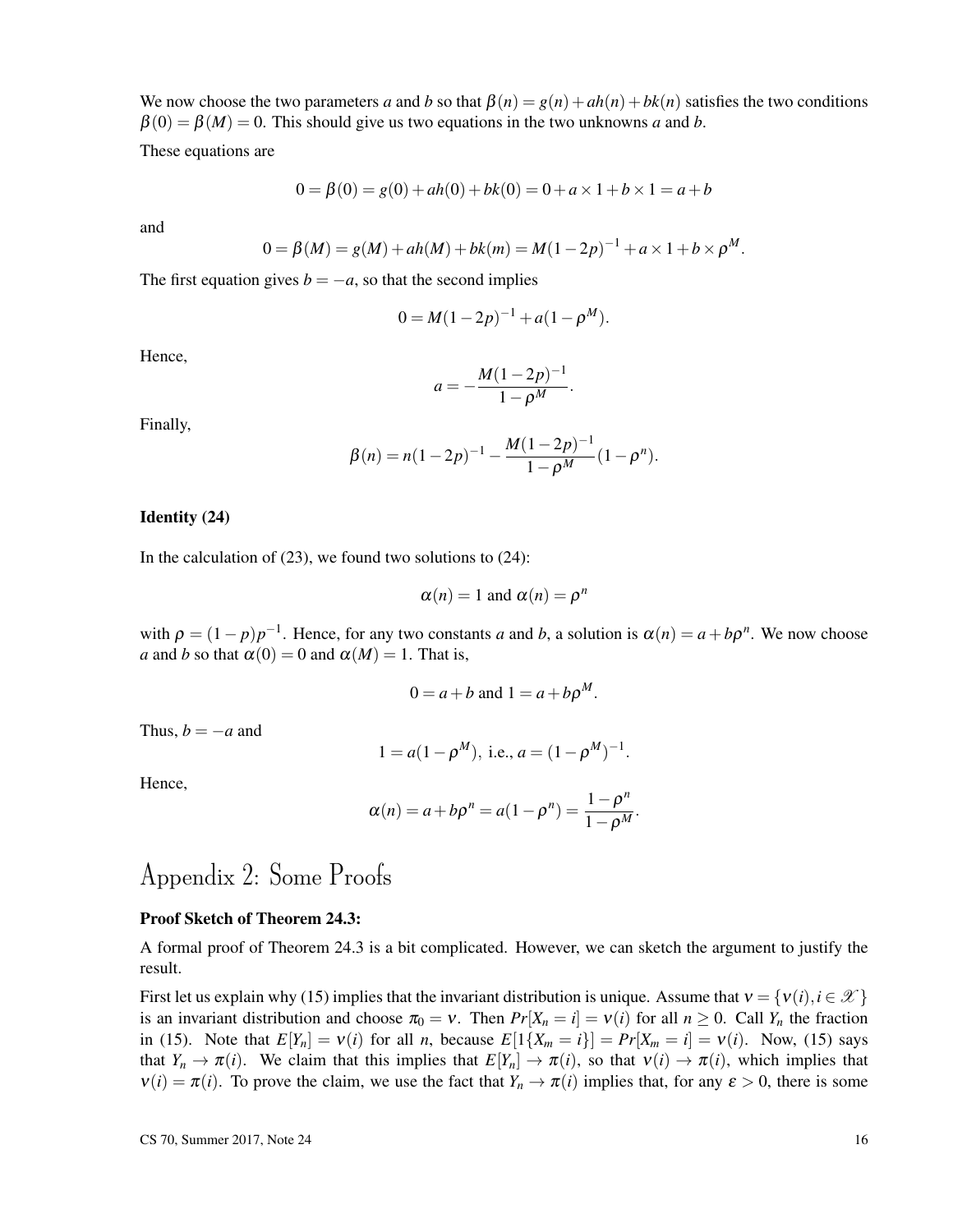We now choose the two parameters *a* and *b* so that  $\beta(n) = g(n) + ah(n) + bk(n)$  satisfies the two conditions  $\beta(0) = \beta(M) = 0$ . This should give us two equations in the two unknowns *a* and *b*.

These equations are

$$
0 = \beta(0) = g(0) + ah(0) + bk(0) = 0 + a \times 1 + b \times 1 = a + b
$$

and

$$
0 = \beta(M) = g(M) + ah(M) + bk(m) = M(1 - 2p)^{-1} + a \times 1 + b \times \rho^M.
$$

The first equation gives  $b = -a$ , so that the second implies

$$
0 = M(1 - 2p)^{-1} + a(1 - \rho^M).
$$

Hence,

$$
a = -\frac{M(1-2p)^{-1}}{1-\rho^M}.
$$

Finally,

$$
\beta(n) = n(1-2p)^{-1} - \frac{M(1-2p)^{-1}}{1-\rho^M}(1-\rho^n).
$$

#### Identity (24)

In the calculation of  $(23)$ , we found two solutions to  $(24)$ :

$$
\alpha(n) = 1 \text{ and } \alpha(n) = \rho^n
$$

with  $\rho = (1 - p)p^{-1}$ . Hence, for any two constants *a* and *b*, a solution is  $\alpha(n) = a + b\rho^n$ . We now choose *a* and *b* so that  $\alpha(0) = 0$  and  $\alpha(M) = 1$ . That is,

$$
0 = a + b \text{ and } 1 = a + b \rho^M.
$$

Thus,  $b = -a$  and

$$
1 = a(1 - \rho^M)
$$
, i.e.,  $a = (1 - \rho^M)^{-1}$ .

Hence,

$$
\alpha(n) = a + b\rho^{n} = a(1 - \rho^{n}) = \frac{1 - \rho^{n}}{1 - \rho^{M}}.
$$

# Appendix 2: Some Proofs

#### Proof Sketch of Theorem 24.3:

A formal proof of Theorem 24.3 is a bit complicated. However, we can sketch the argument to justify the result.

First let us explain why (15) implies that the invariant distribution is unique. Assume that  $v = \{v(i), i \in \mathcal{X}\}\$ is an invariant distribution and choose  $\pi_0 = v$ . Then  $Pr[X_n = i] = v(i)$  for all  $n \ge 0$ . Call  $Y_n$  the fraction in (15). Note that  $E[Y_n] = v(i)$  for all *n*, because  $E[1\{X_m = i\}] = Pr[X_m = i] = v(i)$ . Now, (15) says that  $Y_n \to \pi(i)$ . We claim that this implies that  $E[Y_n] \to \pi(i)$ , so that  $v(i) \to \pi(i)$ , which implies that  $v(i) = \pi(i)$ . To prove the claim, we use the fact that  $Y_n \to \pi(i)$  implies that, for any  $\varepsilon > 0$ , there is some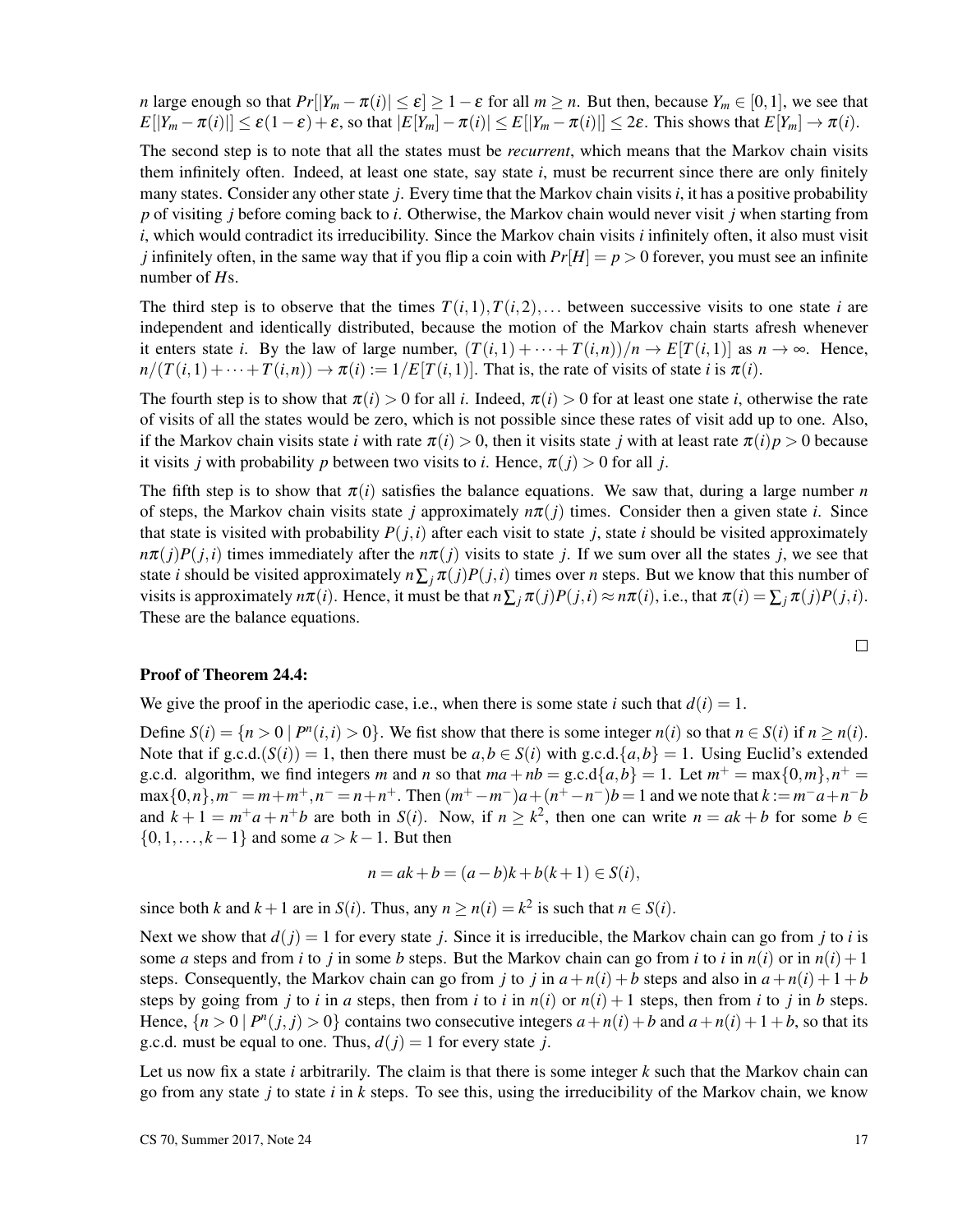*n* large enough so that  $Pr[|Y_m - \pi(i)| \le \varepsilon] \ge 1 - \varepsilon$  for all  $m \ge n$ . But then, because  $Y_m \in [0,1]$ , we see that  $E[|Y_m - \pi(i)|] \leq \varepsilon(1-\varepsilon) + \varepsilon$ , so that  $|E[Y_m] - \pi(i)| \leq E[|Y_m - \pi(i)|] \leq 2\varepsilon$ . This shows that  $E[Y_m] \to \pi(i)$ .

The second step is to note that all the states must be *recurrent*, which means that the Markov chain visits them infinitely often. Indeed, at least one state, say state *i*, must be recurrent since there are only finitely many states. Consider any other state *j*. Every time that the Markov chain visits *i*, it has a positive probability *p* of visiting *j* before coming back to *i*. Otherwise, the Markov chain would never visit *j* when starting from *i*, which would contradict its irreducibility. Since the Markov chain visits *i* infinitely often, it also must visit *j* infinitely often, in the same way that if you flip a coin with  $Pr[H] = p > 0$  forever, you must see an infinite number of *H*s.

The third step is to observe that the times  $T(i,1), T(i,2), \ldots$  between successive visits to one state *i* are independent and identically distributed, because the motion of the Markov chain starts afresh whenever it enters state *i*. By the law of large number,  $(T(i,1) + \cdots + T(i,n))/n \rightarrow E[T(i,1)]$  as  $n \rightarrow \infty$ . Hence,  $n/(T(i,1)+\cdots+T(i,n)) \to \pi(i) := 1/E[T(i,1)]$ . That is, the rate of visits of state *i* is  $\pi(i)$ .

The fourth step is to show that  $\pi(i) > 0$  for all *i*. Indeed,  $\pi(i) > 0$  for at least one state *i*, otherwise the rate of visits of all the states would be zero, which is not possible since these rates of visit add up to one. Also, if the Markov chain visits state *i* with rate  $\pi(i) > 0$ , then it visits state *j* with at least rate  $\pi(i)p > 0$  because it visits *j* with probability *p* between two visits to *i*. Hence,  $\pi(j) > 0$  for all *j*.

The fifth step is to show that  $\pi(i)$  satisfies the balance equations. We saw that, during a large number *n* of steps, the Markov chain visits state *j* approximately  $n\pi(j)$  times. Consider then a given state *i*. Since that state is visited with probability  $P(i,i)$  after each visit to state *i*, state *i* should be visited approximately  $n\pi(j)P(j,i)$  times immediately after the  $n\pi(j)$  visits to state *j*. If we sum over all the states *j*, we see that state *i* should be visited approximately  $n\sum_i \pi(j)P(j,i)$  times over *n* steps. But we know that this number of visits is approximately  $n\pi(i)$ . Hence, it must be that  $n\sum_{i}\pi(j)P(j,i) \approx n\pi(i)$ , i.e., that  $\pi(i) = \sum_{i}\pi(j)P(j,i)$ . These are the balance equations.

$$
\Box
$$

#### Proof of Theorem 24.4:

We give the proof in the aperiodic case, i.e., when there is some state *i* such that  $d(i) = 1$ .

Define  $S(i) = \{n > 0 \mid P^n(i, i) > 0\}$ . We fist show that there is some integer  $n(i)$  so that  $n \in S(i)$  if  $n \geq n(i)$ . Note that if  $g.c.d.(S(i)) = 1$ , then there must be  $a,b \in S(i)$  with  $g.c.d.\{a,b\} = 1$ . Using Euclid's extended g.c.d. algorithm, we find integers *m* and *n* so that  $ma + nb =$  g.c.d{ $a,b$ } = 1. Let  $m^+ = \max\{0,m\}$ ,  $n^+ =$  $\max\{0, n\}$ ,  $m^- = m + m^+$ ,  $n^- = n + n^+$ . Then  $(m^+ - m^-)a + (n^+ - n^-)b = 1$  and we note that  $k := m^-a + n^-b$ and  $k + 1 = m^+a + n^+b$  are both in *S*(*i*). Now, if  $n \geq k^2$ , then one can write  $n = ak + b$  for some  $b \in$  $\{0, 1, \ldots, k-1\}$  and some  $a > k-1$ . But then

$$
n = ak + b = (a - b)k + b(k + 1) \in S(i),
$$

since both *k* and  $k + 1$  are in *S*(*i*). Thus, any  $n \ge n(i) = k^2$  is such that  $n \in S(i)$ .

Next we show that  $d(j) = 1$  for every state *j*. Since it is irreducible, the Markov chain can go from *j* to *i* is some *a* steps and from *i* to *j* in some *b* steps. But the Markov chain can go from *i* to *i* in  $n(i)$  or in  $n(i) + 1$ steps. Consequently, the Markov chain can go from *j* to *j* in  $a + n(i) + b$  steps and also in  $a + n(i) + 1 + b$ steps by going from *j* to *i* in *a* steps, then from *i* to *i* in  $n(i)$  or  $n(i) + 1$  steps, then from *i* to *j* in *b* steps. Hence,  $\{n > 0 \mid P^n(j, j) > 0\}$  contains two consecutive integers  $a + n(i) + b$  and  $a + n(i) + 1 + b$ , so that its g.c.d. must be equal to one. Thus,  $d(j) = 1$  for every state *j*.

Let us now fix a state *i* arbitrarily. The claim is that there is some integer *k* such that the Markov chain can go from any state *j* to state *i* in *k* steps. To see this, using the irreducibility of the Markov chain, we know